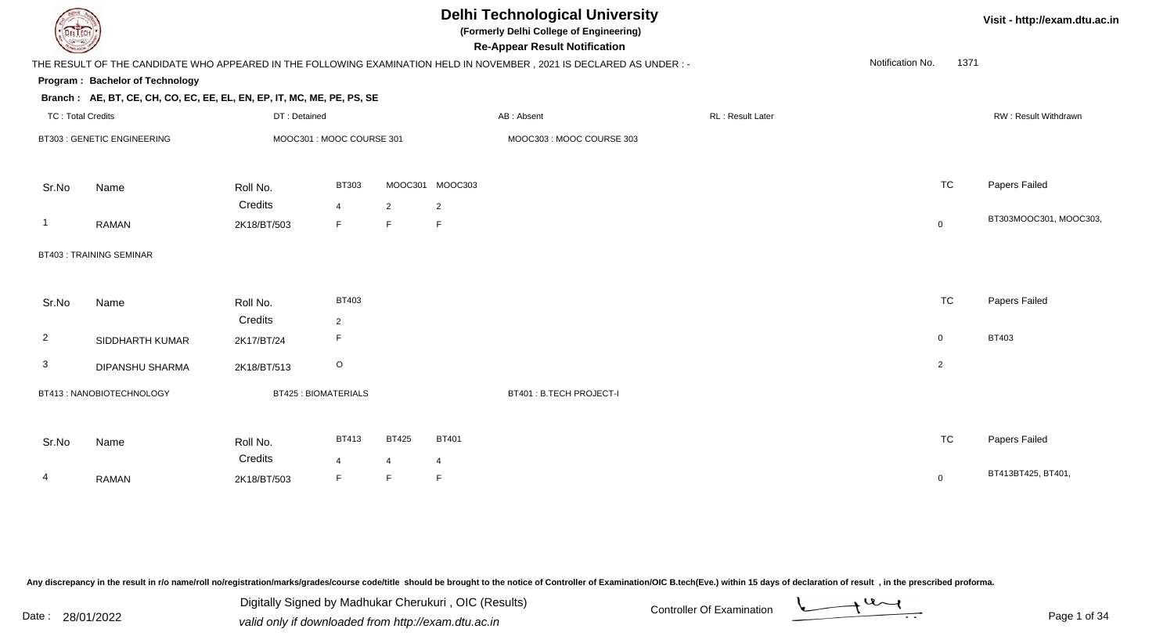| DEL ECH                           |                                                                        |                          |                            |                | <b>Delhi Technological University</b><br>(Formerly Delhi College of Engineering)<br><b>Re-Appear Result Notification</b> |                                                                                                                      | Visit - http://exam.dtu.ac.in |                  |                |                        |
|-----------------------------------|------------------------------------------------------------------------|--------------------------|----------------------------|----------------|--------------------------------------------------------------------------------------------------------------------------|----------------------------------------------------------------------------------------------------------------------|-------------------------------|------------------|----------------|------------------------|
|                                   |                                                                        |                          |                            |                |                                                                                                                          | THE RESULT OF THE CANDIDATE WHO APPEARED IN THE FOLLOWING EXAMINATION HELD IN NOVEMBER, 2021 IS DECLARED AS UNDER :- |                               | Notification No. | 1371           |                        |
|                                   | Program: Bachelor of Technology                                        |                          |                            |                |                                                                                                                          |                                                                                                                      |                               |                  |                |                        |
|                                   | Branch: AE, BT, CE, CH, CO, EC, EE, EL, EN, EP, IT, MC, ME, PE, PS, SE |                          |                            |                |                                                                                                                          |                                                                                                                      |                               |                  |                |                        |
| <b>TC: Total Credits</b>          |                                                                        | DT: Detained             |                            |                |                                                                                                                          | AB: Absent                                                                                                           | RL : Result Later             |                  |                | RW: Result Withdrawn   |
| <b>BT303: GENETIC ENGINEERING</b> |                                                                        | MOOC301: MOOC COURSE 301 |                            |                | MOOC303: MOOC COURSE 303                                                                                                 |                                                                                                                      |                               |                  |                |                        |
| Sr.No                             | Name                                                                   | Roll No.                 | <b>BT303</b>               | MOOC301        | MOOC303                                                                                                                  |                                                                                                                      |                               |                  | <b>TC</b>      | Papers Failed          |
|                                   |                                                                        | Credits                  | $\overline{4}$             | $\overline{2}$ | $\overline{2}$                                                                                                           |                                                                                                                      |                               |                  |                |                        |
| -1                                | <b>RAMAN</b>                                                           | 2K18/BT/503              | E                          | F              | F.                                                                                                                       |                                                                                                                      |                               |                  | $\mathbf 0$    | BT303MOOC301, MOOC303, |
|                                   | <b>BT403: TRAINING SEMINAR</b>                                         |                          |                            |                |                                                                                                                          |                                                                                                                      |                               |                  |                |                        |
| Sr.No                             | Name                                                                   | Roll No.                 | BT403                      |                |                                                                                                                          |                                                                                                                      |                               |                  | <b>TC</b>      | Papers Failed          |
|                                   |                                                                        | Credits                  | 2                          |                |                                                                                                                          |                                                                                                                      |                               |                  |                |                        |
| $\overline{2}$                    | SIDDHARTH KUMAR                                                        | 2K17/BT/24               | E                          |                |                                                                                                                          |                                                                                                                      |                               |                  | $\mathbf 0$    | BT403                  |
| 3                                 | <b>DIPANSHU SHARMA</b>                                                 | 2K18/BT/513              | $\circ$                    |                |                                                                                                                          |                                                                                                                      |                               |                  | $\overline{2}$ |                        |
|                                   | BT413: NANOBIOTECHNOLOGY                                               |                          | <b>BT425: BIOMATERIALS</b> |                |                                                                                                                          | BT401: B.TECH PROJECT-I                                                                                              |                               |                  |                |                        |
| Sr.No                             | Name                                                                   | Roll No.                 | <b>BT413</b>               | <b>BT425</b>   | <b>BT401</b>                                                                                                             |                                                                                                                      |                               |                  | <b>TC</b>      | Papers Failed          |
|                                   |                                                                        | Credits                  | $\overline{4}$             | 4              | $\overline{4}$                                                                                                           |                                                                                                                      |                               |                  |                |                        |
| 4                                 | <b>RAMAN</b>                                                           | 2K18/BT/503              | E                          | F              | F                                                                                                                        |                                                                                                                      |                               |                  | $\mathbf 0$    | BT413BT425, BT401,     |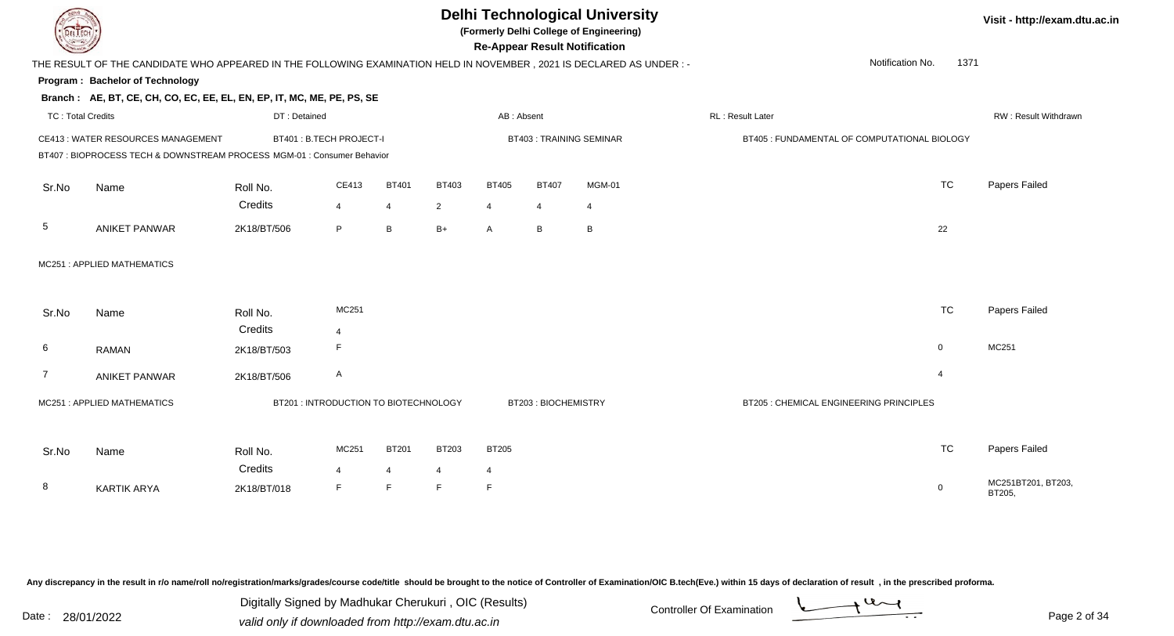## **Delhi Technological University**

**(Formerly Delhi College of Engineering)**

**Re-Appear Result Notification**

**Visit - http://exam.dtu.ac.in**

| <b>Courses Lines</b>     |                                                                                                                     |              |                                       |              |                |                |                     | <b>Re-Appear Result Notification</b> |                                              |                          |                              |
|--------------------------|---------------------------------------------------------------------------------------------------------------------|--------------|---------------------------------------|--------------|----------------|----------------|---------------------|--------------------------------------|----------------------------------------------|--------------------------|------------------------------|
|                          | THE RESULT OF THE CANDIDATE WHO APPEARED IN THE FOLLOWING EXAMINATION HELD IN NOVEMBER, 2021 IS DECLARED AS UNDER:- |              |                                       |              |                |                |                     |                                      |                                              | 1371<br>Notification No. |                              |
|                          | Program: Bachelor of Technology                                                                                     |              |                                       |              |                |                |                     |                                      |                                              |                          |                              |
|                          | Branch: AE, BT, CE, CH, CO, EC, EE, EL, EN, EP, IT, MC, ME, PE, PS, SE                                              |              |                                       |              |                |                |                     |                                      |                                              |                          |                              |
| <b>TC: Total Credits</b> |                                                                                                                     | DT: Detained |                                       |              |                | AB: Absent     |                     |                                      | RL: Result Later                             |                          | <b>RW: Result Withdrawn</b>  |
|                          | CE413: WATER RESOURCES MANAGEMENT                                                                                   |              | BT401 : B.TECH PROJECT-I              |              |                |                |                     | <b>BT403: TRAINING SEMINAR</b>       | BT405 : FUNDAMENTAL OF COMPUTATIONAL BIOLOGY |                          |                              |
|                          | BT407 : BIOPROCESS TECH & DOWNSTREAM PROCESS MGM-01 : Consumer Behavior                                             |              |                                       |              |                |                |                     |                                      |                                              |                          |                              |
| Sr.No                    | Name                                                                                                                | Roll No.     | CE413                                 | <b>BT401</b> | <b>BT403</b>   | <b>BT405</b>   | <b>BT407</b>        | <b>MGM-01</b>                        |                                              | <b>TC</b>                | Papers Failed                |
|                          |                                                                                                                     | Credits      | $\overline{4}$                        | 4            | $\overline{2}$ | $\overline{4}$ | 4                   | 4                                    |                                              |                          |                              |
| 5                        | <b>ANIKET PANWAR</b>                                                                                                | 2K18/BT/506  | P                                     | B            | $B+$           | A              | B                   | $\, {\sf B}$                         |                                              | 22                       |                              |
|                          | MC251: APPLIED MATHEMATICS                                                                                          |              |                                       |              |                |                |                     |                                      |                                              |                          |                              |
| Sr.No                    | Name                                                                                                                | Roll No.     | MC251                                 |              |                |                |                     |                                      |                                              | <b>TC</b>                | Papers Failed                |
|                          |                                                                                                                     | Credits      | $\overline{4}$                        |              |                |                |                     |                                      |                                              |                          |                              |
| 6                        | <b>RAMAN</b>                                                                                                        | 2K18/BT/503  | F                                     |              |                |                |                     |                                      |                                              | $\overline{0}$           | MC251                        |
| 7                        | <b>ANIKET PANWAR</b>                                                                                                | 2K18/BT/506  | A                                     |              |                |                |                     |                                      |                                              | $\overline{4}$           |                              |
|                          | MC251: APPLIED MATHEMATICS                                                                                          |              | BT201 : INTRODUCTION TO BIOTECHNOLOGY |              |                |                | BT203: BIOCHEMISTRY |                                      | BT205 : CHEMICAL ENGINEERING PRINCIPLES      |                          |                              |
| Sr.No                    | Name                                                                                                                | Roll No.     | MC251                                 | <b>BT201</b> | BT203          | <b>BT205</b>   |                     |                                      |                                              | <b>TC</b>                | Papers Failed                |
|                          |                                                                                                                     | Credits      | 4                                     | 4            | 4              | $\overline{4}$ |                     |                                      |                                              |                          |                              |
| 8                        | <b>KARTIK ARYA</b>                                                                                                  | 2K18/BT/018  | F                                     | F.           | F.             | $\mathsf F$    |                     |                                      |                                              | $\mathbf 0$              | MC251BT201, BT203,<br>BT205, |

Any discrepancy in the result in r/o name/roll no/registration/marks/grades/course code/title should be brought to the notice of Controller of Examination/OIC B.tech(Eve.) within 15 days of declaration of result, in the pr

Date : 28/01/2022 Valid only if downloaded from http://exam.dtu.ac.in<br>valid only if downloaded from http://exam.dtu.ac.in Digitally Signed by Madhukar Cherukuri , OIC (Results)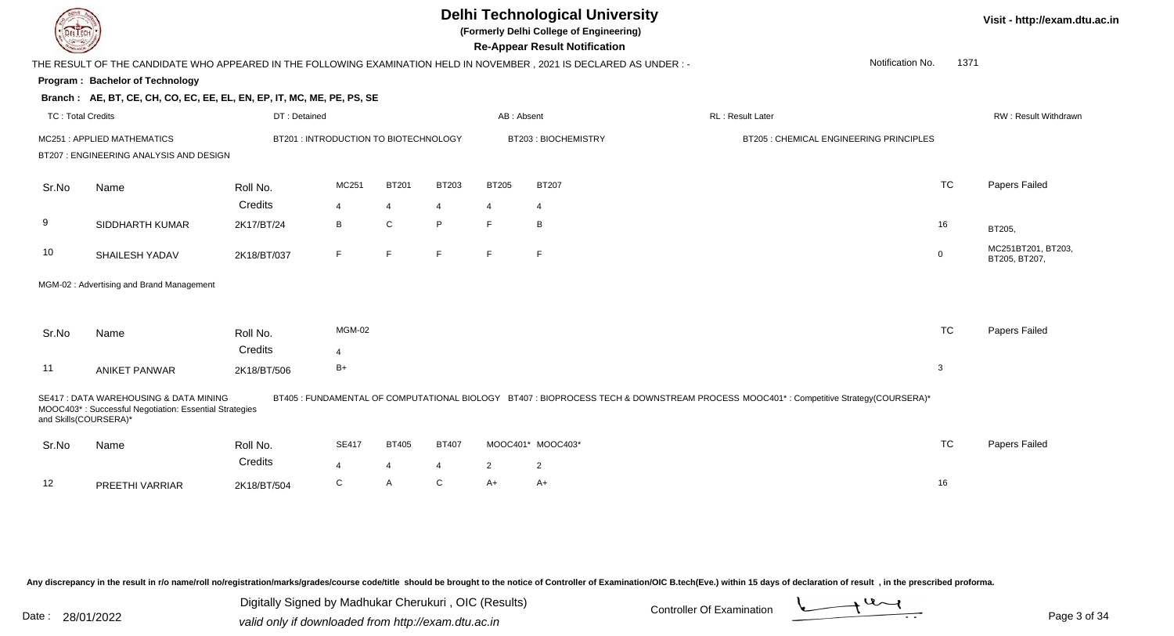### **Delhi Technological University**

**(Formerly Delhi College of Engineering)**

**Re-Appear Result Notification**

**Visit - http://exam.dtu.ac.in**

| <b>Country</b>           |                                                                                                                        |              |                                       |                |              |                | <b>Re-Appear Result Notification</b> |                                                                                                                                      |                                         |             |                                     |
|--------------------------|------------------------------------------------------------------------------------------------------------------------|--------------|---------------------------------------|----------------|--------------|----------------|--------------------------------------|--------------------------------------------------------------------------------------------------------------------------------------|-----------------------------------------|-------------|-------------------------------------|
|                          | THE RESULT OF THE CANDIDATE WHO APPEARED IN THE FOLLOWING EXAMINATION HELD IN NOVEMBER , 2021 IS DECLARED AS UNDER : - |              |                                       |                |              |                |                                      |                                                                                                                                      | Notification No.                        | 1371        |                                     |
|                          | Program: Bachelor of Technology                                                                                        |              |                                       |                |              |                |                                      |                                                                                                                                      |                                         |             |                                     |
|                          | Branch: AE, BT, CE, CH, CO, EC, EE, EL, EN, EP, IT, MC, ME, PE, PS, SE                                                 |              |                                       |                |              |                |                                      |                                                                                                                                      |                                         |             |                                     |
| <b>TC: Total Credits</b> |                                                                                                                        | DT: Detained |                                       |                |              | AB: Absent     |                                      | <b>RL: Result Later</b>                                                                                                              |                                         |             | RW: Result Withdrawn                |
|                          | MC251: APPLIED MATHEMATICS                                                                                             |              | BT201 : INTRODUCTION TO BIOTECHNOLOGY |                |              |                | BT203: BIOCHEMISTRY                  |                                                                                                                                      | BT205 : CHEMICAL ENGINEERING PRINCIPLES |             |                                     |
|                          | BT207 : ENGINEERING ANALYSIS AND DESIGN                                                                                |              |                                       |                |              |                |                                      |                                                                                                                                      |                                         |             |                                     |
| Sr.No                    | Name                                                                                                                   | Roll No.     | MC251                                 | <b>BT201</b>   | BT203        | <b>BT205</b>   | <b>BT207</b>                         |                                                                                                                                      |                                         | <b>TC</b>   | Papers Failed                       |
|                          |                                                                                                                        | Credits      | $\overline{4}$                        | 4              | 4            | 4              | $\overline{4}$                       |                                                                                                                                      |                                         |             |                                     |
| 9                        | SIDDHARTH KUMAR                                                                                                        | 2K17/BT/24   | B                                     | C              | P            | F              | B                                    |                                                                                                                                      |                                         | 16          | BT205,                              |
| 10                       | SHAILESH YADAV                                                                                                         | 2K18/BT/037  | F                                     | F              | F            | F              | F                                    |                                                                                                                                      |                                         | $\mathbf 0$ | MC251BT201, BT203,<br>BT205, BT207, |
|                          | MGM-02: Advertising and Brand Management                                                                               |              |                                       |                |              |                |                                      |                                                                                                                                      |                                         |             |                                     |
|                          |                                                                                                                        |              |                                       |                |              |                |                                      |                                                                                                                                      |                                         |             |                                     |
| Sr.No                    | Name                                                                                                                   | Roll No.     | <b>MGM-02</b>                         |                |              |                |                                      |                                                                                                                                      |                                         | <b>TC</b>   | Papers Failed                       |
|                          |                                                                                                                        | Credits      | $\overline{4}$                        |                |              |                |                                      |                                                                                                                                      |                                         |             |                                     |
| 11                       | <b>ANIKET PANWAR</b>                                                                                                   | 2K18/BT/506  | $B+$                                  |                |              |                |                                      |                                                                                                                                      |                                         | 3           |                                     |
| and Skills(COURSERA)*    | SE417 : DATA WAREHOUSING & DATA MINING<br>MOOC403*: Successful Negotiation: Essential Strategies                       |              |                                       |                |              |                |                                      | BT405 : FUNDAMENTAL OF COMPUTATIONAL BIOLOGY BT407 : BIOPROCESS TECH & DOWNSTREAM PROCESS MOOC401* : Competitive Strategy(COURSERA)* |                                         |             |                                     |
| Sr.No                    | Name                                                                                                                   | Roll No.     | <b>SE417</b>                          | <b>BT405</b>   | <b>BT407</b> |                | MOOC401* MOOC403*                    |                                                                                                                                      |                                         | <b>TC</b>   | Papers Failed                       |
|                          |                                                                                                                        | Credits      | $\overline{4}$                        | $\overline{4}$ | 4            | $\overline{2}$ | $\mathbf{2}$                         |                                                                                                                                      |                                         |             |                                     |
| 12                       | PREETHI VARRIAR                                                                                                        | 2K18/BT/504  | C                                     | A              | C            | $A+$           | A+                                   |                                                                                                                                      |                                         | 16          |                                     |

Any discrepancy in the result in r/o name/roll no/registration/marks/grades/course code/title should be brought to the notice of Controller of Examination/OIC B.tech(Eve.) within 15 days of declaration of result, in the pr

Date : 28/01/2022 Valid only if downloaded from http://exam.dtu.ac.in<br>Valid only if downloaded from http://exam.dtu.ac.in Digitally Signed by Madhukar Cherukuri , OIC (Results)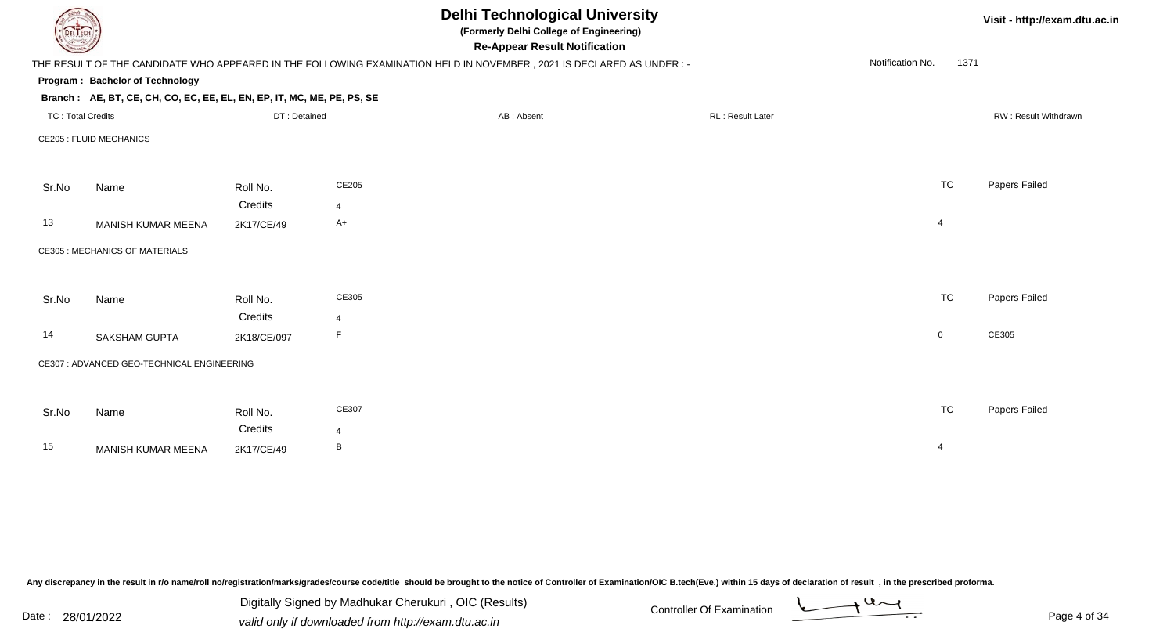|                          |                                                                        |                     |                         | <b>Delhi Technological University</b><br>(Formerly Delhi College of Engineering)<br><b>Re-Appear Result Notification</b> | Visit - http://exam.dtu.ac.in |                          |                      |
|--------------------------|------------------------------------------------------------------------|---------------------|-------------------------|--------------------------------------------------------------------------------------------------------------------------|-------------------------------|--------------------------|----------------------|
|                          |                                                                        |                     |                         | THE RESULT OF THE CANDIDATE WHO APPEARED IN THE FOLLOWING EXAMINATION HELD IN NOVEMBER, 2021 IS DECLARED AS UNDER :-     |                               | Notification No.<br>1371 |                      |
|                          | Program: Bachelor of Technology                                        |                     |                         |                                                                                                                          |                               |                          |                      |
|                          | Branch: AE, BT, CE, CH, CO, EC, EE, EL, EN, EP, IT, MC, ME, PE, PS, SE |                     |                         |                                                                                                                          |                               |                          |                      |
| <b>TC: Total Credits</b> |                                                                        | DT: Detained        |                         | AB: Absent                                                                                                               | RL: Result Later              |                          | RW: Result Withdrawn |
|                          | <b>CE205 : FLUID MECHANICS</b>                                         |                     |                         |                                                                                                                          |                               |                          |                      |
| Sr.No                    | Name                                                                   | Roll No.            | CE205                   |                                                                                                                          |                               | <b>TC</b>                | Papers Failed        |
|                          |                                                                        | Credits             | 4                       |                                                                                                                          |                               |                          |                      |
| 13                       | MANISH KUMAR MEENA                                                     | 2K17/CE/49          | $A+$                    |                                                                                                                          |                               | 4                        |                      |
|                          | <b>CE305 : MECHANICS OF MATERIALS</b>                                  |                     |                         |                                                                                                                          |                               |                          |                      |
| Sr.No                    | Name                                                                   | Roll No.            | CE305                   |                                                                                                                          |                               | <b>TC</b>                | Papers Failed        |
|                          |                                                                        | Credits             | $\overline{4}$          |                                                                                                                          |                               |                          |                      |
| 14                       | <b>SAKSHAM GUPTA</b>                                                   | 2K18/CE/097         | F                       |                                                                                                                          |                               | $\overline{0}$           | CE305                |
|                          | CE307 : ADVANCED GEO-TECHNICAL ENGINEERING                             |                     |                         |                                                                                                                          |                               |                          |                      |
|                          |                                                                        |                     |                         |                                                                                                                          |                               |                          |                      |
| Sr.No                    | Name                                                                   | Roll No.<br>Credits | CE307<br>$\overline{4}$ |                                                                                                                          |                               | <b>TC</b>                | Papers Failed        |
| 15                       | MANISH KUMAR MEENA                                                     | 2K17/CE/49          | B                       |                                                                                                                          |                               | $\overline{4}$           |                      |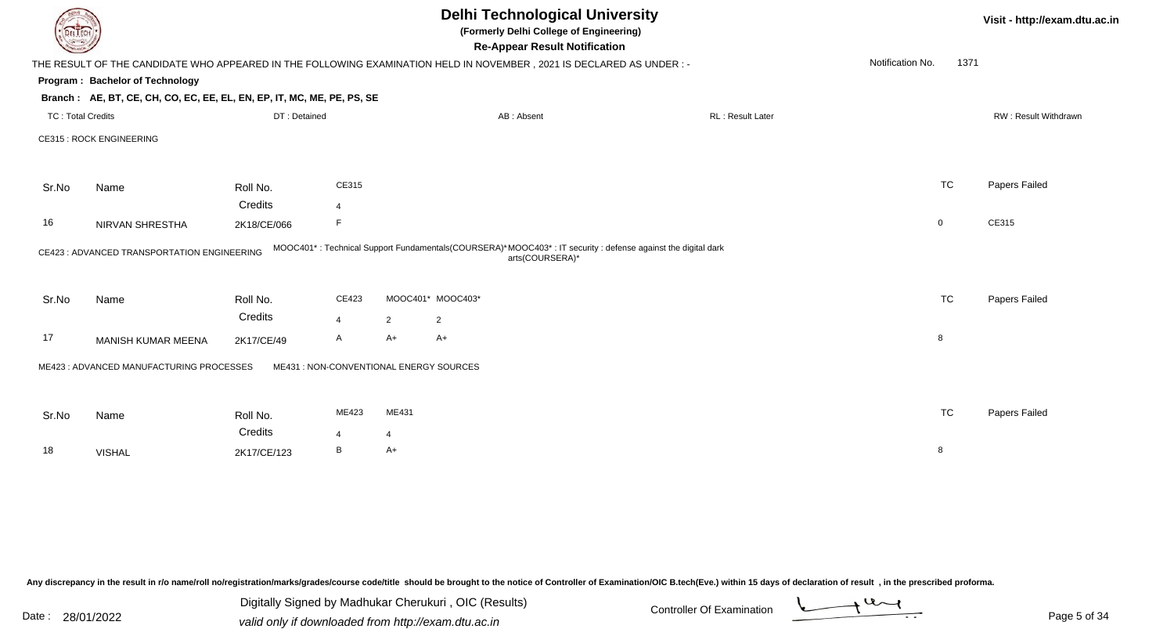| DEL ECH |                                                                                                                      |             |                                         |                                | Visit - http://exam.dtu.ac.in |                 |                                                                                                            |                  |                      |               |
|---------|----------------------------------------------------------------------------------------------------------------------|-------------|-----------------------------------------|--------------------------------|-------------------------------|-----------------|------------------------------------------------------------------------------------------------------------|------------------|----------------------|---------------|
|         | THE RESULT OF THE CANDIDATE WHO APPEARED IN THE FOLLOWING EXAMINATION HELD IN NOVEMBER, 2021 IS DECLARED AS UNDER :- |             |                                         |                                |                               |                 |                                                                                                            | Notification No. | 1371                 |               |
|         | Program: Bachelor of Technology                                                                                      |             |                                         |                                |                               |                 |                                                                                                            |                  |                      |               |
|         | Branch: AE, BT, CE, CH, CO, EC, EE, EL, EN, EP, IT, MC, ME, PE, PS, SE                                               |             |                                         |                                |                               |                 |                                                                                                            |                  |                      |               |
|         | <b>TC: Total Credits</b>                                                                                             |             | DT: Detained                            | RL: Result Later<br>AB: Absent |                               |                 |                                                                                                            |                  | RW: Result Withdrawn |               |
|         | <b>CE315: ROCK ENGINEERING</b>                                                                                       |             |                                         |                                |                               |                 |                                                                                                            |                  |                      |               |
| Sr.No   | Name                                                                                                                 | Roll No.    | CE315                                   |                                |                               |                 |                                                                                                            |                  | <b>TC</b>            | Papers Failed |
|         |                                                                                                                      | Credits     | $\overline{4}$                          |                                |                               |                 |                                                                                                            |                  |                      |               |
| 16      | NIRVAN SHRESTHA                                                                                                      | 2K18/CE/066 |                                         |                                |                               |                 |                                                                                                            |                  | $\mathbf 0$          | CE315         |
|         | CE423 : ADVANCED TRANSPORTATION ENGINEERING                                                                          |             |                                         |                                |                               | arts(COURSERA)* | MOOC401*: Technical Support Fundamentals(COURSERA)*MOOC403*: IT security: defense against the digital dark |                  |                      |               |
| Sr.No   | Name                                                                                                                 | Roll No.    | CE423                                   |                                | MOOC401* MOOC403*             |                 |                                                                                                            |                  | <b>TC</b>            | Papers Failed |
|         |                                                                                                                      | Credits     | $\overline{4}$                          | $\overline{2}$                 | $\overline{a}$                |                 |                                                                                                            |                  |                      |               |
| 17      | MANISH KUMAR MEENA                                                                                                   | 2K17/CE/49  | Α                                       | $A+$                           | $A+$                          |                 |                                                                                                            |                  | 8                    |               |
|         | ME423 : ADVANCED MANUFACTURING PROCESSES                                                                             |             | ME431 : NON-CONVENTIONAL ENERGY SOURCES |                                |                               |                 |                                                                                                            |                  |                      |               |
|         |                                                                                                                      |             |                                         |                                |                               |                 |                                                                                                            |                  |                      |               |
| Sr.No   | Name                                                                                                                 | Roll No.    | ME423                                   | ME431                          |                               |                 |                                                                                                            |                  | <b>TC</b>            | Papers Failed |
|         |                                                                                                                      | Credits     | $\overline{4}$                          | $\overline{4}$                 |                               |                 |                                                                                                            |                  |                      |               |
| 18      | <b>VISHAL</b>                                                                                                        | 2K17/CE/123 | B                                       | A+                             |                               |                 |                                                                                                            |                  | 8                    |               |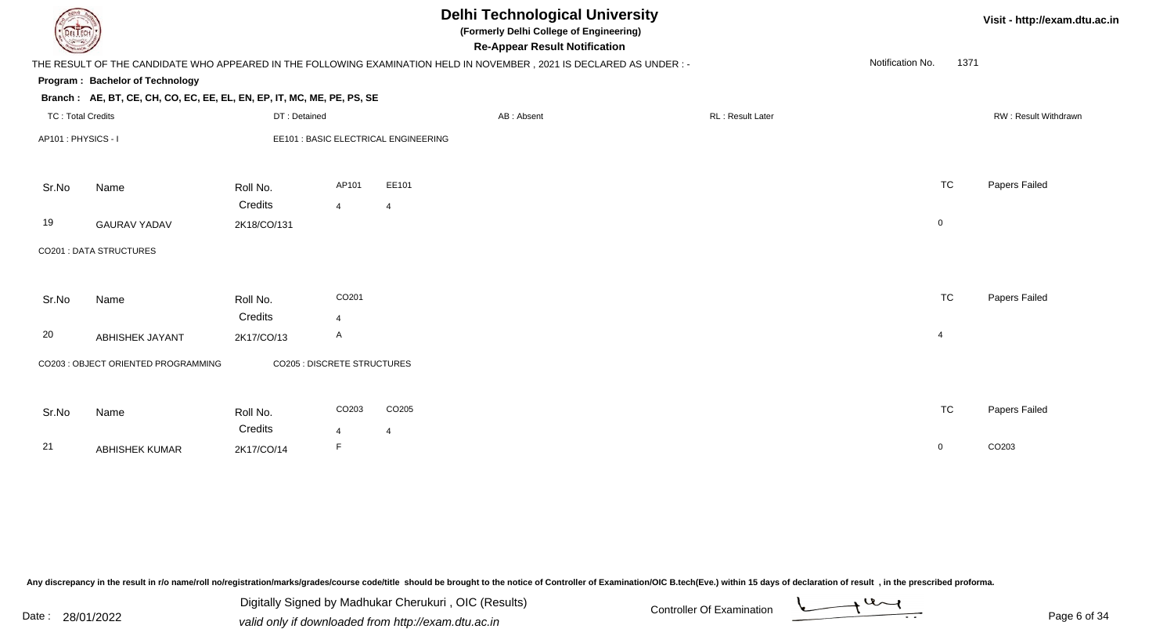| DEL ECH                  |                                                                                                                      |                                    |                |                                      | <b>Delhi Technological University</b><br>(Formerly Delhi College of Engineering)<br><b>Re-Appear Result Notification</b> |                         |                  |           | Visit - http://exam.dtu.ac.in |
|--------------------------|----------------------------------------------------------------------------------------------------------------------|------------------------------------|----------------|--------------------------------------|--------------------------------------------------------------------------------------------------------------------------|-------------------------|------------------|-----------|-------------------------------|
|                          | THE RESULT OF THE CANDIDATE WHO APPEARED IN THE FOLLOWING EXAMINATION HELD IN NOVEMBER, 2021 IS DECLARED AS UNDER :- |                                    |                |                                      |                                                                                                                          |                         | Notification No. | 1371      |                               |
|                          | Program: Bachelor of Technology                                                                                      |                                    |                |                                      |                                                                                                                          |                         |                  |           |                               |
|                          | Branch: AE, BT, CE, CH, CO, EC, EE, EL, EN, EP, IT, MC, ME, PE, PS, SE                                               |                                    |                |                                      |                                                                                                                          |                         |                  |           |                               |
| <b>TC: Total Credits</b> |                                                                                                                      | DT: Detained                       |                |                                      | AB: Absent                                                                                                               | <b>RL: Result Later</b> |                  |           | RW: Result Withdrawn          |
| AP101: PHYSICS - I       |                                                                                                                      |                                    |                | EE101 : BASIC ELECTRICAL ENGINEERING |                                                                                                                          |                         |                  |           |                               |
| Sr.No                    | Name                                                                                                                 | Roll No.                           | AP101          | EE101                                |                                                                                                                          |                         |                  | <b>TC</b> | Papers Failed                 |
|                          |                                                                                                                      | Credits                            | $\overline{4}$ | $\overline{4}$                       |                                                                                                                          |                         |                  |           |                               |
| 19                       | <b>GAURAV YADAV</b>                                                                                                  | 2K18/CO/131                        |                |                                      |                                                                                                                          |                         | $\mathbf 0$      |           |                               |
|                          | <b>CO201: DATA STRUCTURES</b>                                                                                        |                                    |                |                                      |                                                                                                                          |                         |                  |           |                               |
| Sr.No                    | Name                                                                                                                 | Roll No.                           | CO201          |                                      |                                                                                                                          |                         |                  | <b>TC</b> | Papers Failed                 |
|                          |                                                                                                                      | Credits                            | $\overline{4}$ |                                      |                                                                                                                          |                         |                  |           |                               |
| 20                       | <b>ABHISHEK JAYANT</b>                                                                                               | 2K17/CO/13                         | $\mathsf{A}$   |                                      |                                                                                                                          |                         | $\overline{4}$   |           |                               |
|                          | CO203 : OBJECT ORIENTED PROGRAMMING                                                                                  | <b>CO205 : DISCRETE STRUCTURES</b> |                |                                      |                                                                                                                          |                         |                  |           |                               |
| Sr.No                    | Name                                                                                                                 | Roll No.                           | CO203          | CO <sub>205</sub>                    |                                                                                                                          |                         |                  | <b>TC</b> | Papers Failed                 |
|                          |                                                                                                                      | Credits                            | $\overline{4}$ | $\overline{4}$                       |                                                                                                                          |                         |                  |           |                               |
| 21                       | <b>ABHISHEK KUMAR</b>                                                                                                | 2K17/CO/14                         | F              |                                      |                                                                                                                          |                         | $\mathbf 0$      |           | CO203                         |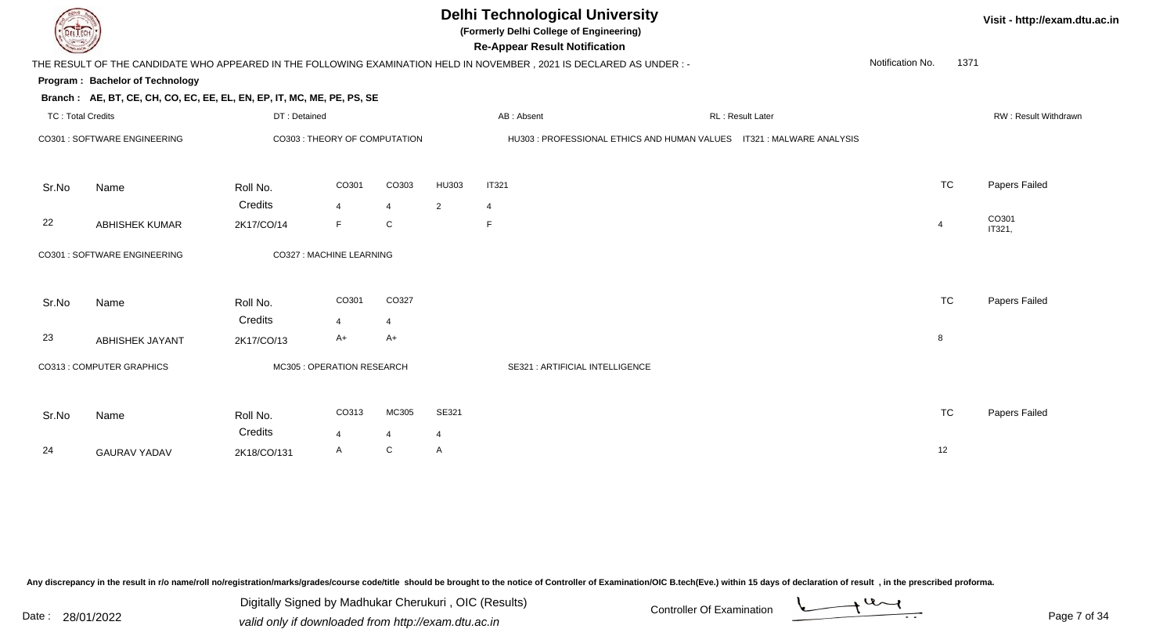

### **Delhi Technological University**

**(Formerly Delhi College of Engineering)**

**Visit - http://exam.dtu.ac.in**

|                              | Notification No.<br>THE RESULT OF THE CANDIDATE WHO APPEARED IN THE FOLLOWING EXAMINATION HELD IN NOVEMBER, 2021 IS DECLARED AS UNDER :- |                               |                            |                |                |                                                                        |  |                  |  | 1371           |                      |
|------------------------------|------------------------------------------------------------------------------------------------------------------------------------------|-------------------------------|----------------------------|----------------|----------------|------------------------------------------------------------------------|--|------------------|--|----------------|----------------------|
|                              | Program: Bachelor of Technology                                                                                                          |                               |                            |                |                |                                                                        |  |                  |  |                |                      |
|                              | Branch: AE, BT, CE, CH, CO, EC, EE, EL, EN, EP, IT, MC, ME, PE, PS, SE                                                                   |                               |                            |                |                |                                                                        |  |                  |  |                |                      |
|                              | <b>TC: Total Credits</b>                                                                                                                 |                               | DT: Detained               |                |                | AB: Absent                                                             |  | RL: Result Later |  |                | RW: Result Withdrawr |
| CO301 : SOFTWARE ENGINEERING |                                                                                                                                          | CO303 : THEORY OF COMPUTATION |                            |                |                | HU303 : PROFESSIONAL ETHICS AND HUMAN VALUES  IT321 : MALWARE ANALYSIS |  |                  |  |                |                      |
| Sr.No                        | Name                                                                                                                                     | Roll No.                      | CO301                      | CO303          | HU303          | <b>IT321</b>                                                           |  |                  |  | <b>TC</b>      | Papers Failed        |
|                              |                                                                                                                                          | Credits                       | $\overline{4}$             | $\overline{4}$ | 2              | $\overline{4}$                                                         |  |                  |  |                |                      |
| 22                           | <b>ABHISHEK KUMAR</b>                                                                                                                    | 2K17/CO/14                    | F.                         | C              |                | F.                                                                     |  |                  |  | $\overline{4}$ | CO301<br>IT321,      |
|                              | CO301 : SOFTWARE ENGINEERING                                                                                                             |                               | CO327 : MACHINE LEARNING   |                |                |                                                                        |  |                  |  |                |                      |
| Sr.No                        | Name                                                                                                                                     | Roll No.                      | CO301                      | CO327          |                |                                                                        |  |                  |  | <b>TC</b>      | Papers Failed        |
|                              |                                                                                                                                          | Credits                       | $\overline{4}$             | $\overline{4}$ |                |                                                                        |  |                  |  |                |                      |
| 23                           | <b>ABHISHEK JAYANT</b>                                                                                                                   | 2K17/CO/13                    | A+                         | $A+$           |                |                                                                        |  |                  |  | 8              |                      |
|                              | CO313 : COMPUTER GRAPHICS                                                                                                                |                               | MC305 : OPERATION RESEARCH |                |                | SE321 : ARTIFICIAL INTELLIGENCE                                        |  |                  |  |                |                      |
| Sr.No                        | Name                                                                                                                                     | Roll No.                      | CO313                      | MC305          | SE321          |                                                                        |  |                  |  | <b>TC</b>      | Papers Failed        |
|                              |                                                                                                                                          | Credits                       | $\overline{4}$             | $\overline{4}$ | $\overline{4}$ |                                                                        |  |                  |  |                |                      |
| 24                           | <b>GAURAV YADAV</b>                                                                                                                      | 2K18/CO/131                   | A                          | C              | Α              |                                                                        |  |                  |  | 12             |                      |

Any discrepancy in the result in r/o name/roll no/registration/marks/grades/course code/title should be brought to the notice of Controller of Examination/OIC B.tech(Eve.) within 15 days of declaration of result, in the pr

Date : 28/01/2022 Valid only if downloaded from http://exam.dtu.ac.in<br>
Date : 28/01/2022 valid only if downloaded from http://exam.dtu.ac.in Digitally Signed by Madhukar Cherukuri , OIC (Results)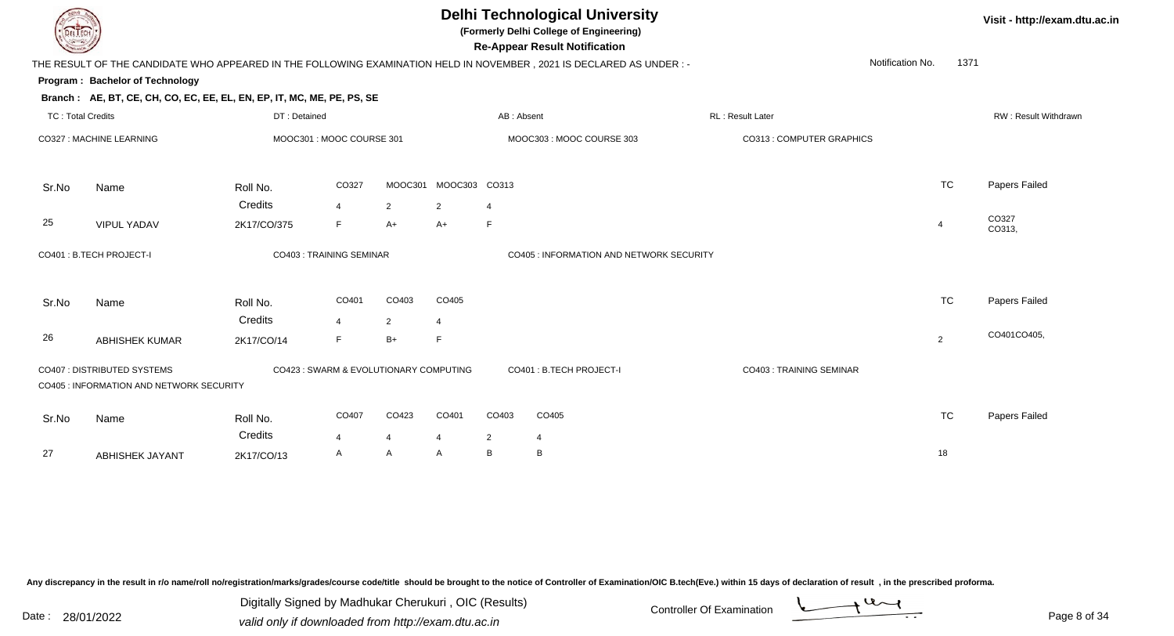### **Delhi Technological University**

**(Formerly Delhi College of Engineering)**

**Re-Appear Result Notification**

**Visit - http://exam.dtu.ac.in**

| <b>Courses A</b>         |                                                                         |              |                                        |                |                |                | <b>Re-Appear Result Notification</b>                                                                                   |                           |                  |                |                             |
|--------------------------|-------------------------------------------------------------------------|--------------|----------------------------------------|----------------|----------------|----------------|------------------------------------------------------------------------------------------------------------------------|---------------------------|------------------|----------------|-----------------------------|
|                          |                                                                         |              |                                        |                |                |                | THE RESULT OF THE CANDIDATE WHO APPEARED IN THE FOLLOWING EXAMINATION HELD IN NOVEMBER , 2021 IS DECLARED AS UNDER : - |                           | Notification No. | 1371           |                             |
|                          | Program: Bachelor of Technology                                         |              |                                        |                |                |                |                                                                                                                        |                           |                  |                |                             |
|                          | Branch: AE, BT, CE, CH, CO, EC, EE, EL, EN, EP, IT, MC, ME, PE, PS, SE  |              |                                        |                |                |                |                                                                                                                        |                           |                  |                |                             |
| <b>TC: Total Credits</b> |                                                                         | DT: Detained |                                        |                |                | AB: Absent     |                                                                                                                        | RL: Result Later          |                  |                | <b>RW: Result Withdrawr</b> |
|                          | CO327 : MACHINE LEARNING                                                |              | MOOC301 : MOOC COURSE 301              |                |                |                | MOOC303: MOOC COURSE 303                                                                                               | CO313 : COMPUTER GRAPHICS |                  |                |                             |
| Sr.No                    | Name                                                                    | Roll No.     | CO327                                  | MOOC301        | MOOC303 CO313  |                |                                                                                                                        |                           |                  | <b>TC</b>      | Papers Failed               |
|                          |                                                                         | Credits      | $\overline{4}$                         | $\overline{2}$ | $\overline{2}$ | $\overline{4}$ |                                                                                                                        |                           |                  |                |                             |
| 25                       | <b>VIPUL YADAV</b>                                                      | 2K17/CO/375  | F                                      | $A+$           | $A+$           | $\mathsf F$    |                                                                                                                        |                           |                  | $\overline{4}$ | CO327<br>CO313,             |
|                          | CO401 : B.TECH PROJECT-I                                                |              | CO403 : TRAINING SEMINAR               |                |                |                | <b>CO405 : INFORMATION AND NETWORK SECURITY</b>                                                                        |                           |                  |                |                             |
| Sr.No                    | Name                                                                    | Roll No.     | CO401                                  | CO403          | CO405          |                |                                                                                                                        |                           |                  | <b>TC</b>      | Papers Failed               |
|                          |                                                                         | Credits      | $\overline{4}$                         | $\overline{2}$ | 4              |                |                                                                                                                        |                           |                  |                |                             |
| 26                       | <b>ABHISHEK KUMAR</b>                                                   | 2K17/CO/14   | F.                                     | $B+$           | F              |                |                                                                                                                        |                           |                  | 2              | CO401CO405,                 |
|                          | CO407 : DISTRIBUTED SYSTEMS<br>CO405 : INFORMATION AND NETWORK SECURITY |              | CO423 : SWARM & EVOLUTIONARY COMPUTING |                |                |                | CO401 : B.TECH PROJECT-I                                                                                               | CO403: TRAINING SEMINAR   |                  |                |                             |
| Sr.No                    | Name                                                                    | Roll No.     | CO407                                  | CO423          | CO401          | CO403          | CO405                                                                                                                  |                           |                  | <b>TC</b>      | Papers Failed               |
|                          |                                                                         | Credits      | $\overline{4}$                         | 4              | 4              | $\overline{2}$ | $\overline{4}$                                                                                                         |                           |                  |                |                             |
| 27                       | <b>ABHISHEK JAYANT</b>                                                  | 2K17/CO/13   | A                                      | A              | A              | B              | B                                                                                                                      |                           |                  | 18             |                             |

Any discrepancy in the result in r/o name/roll no/registration/marks/grades/course code/title should be brought to the notice of Controller of Examination/OIC B.tech(Eve.) within 15 days of declaration of result, in the pr

Date : 28/01/2022 Valid only if downloaded from http://exam.dtu.ac.in<br>Valid only if downloaded from http://exam.dtu.ac.in Digitally Signed by Madhukar Cherukuri , OIC (Results)

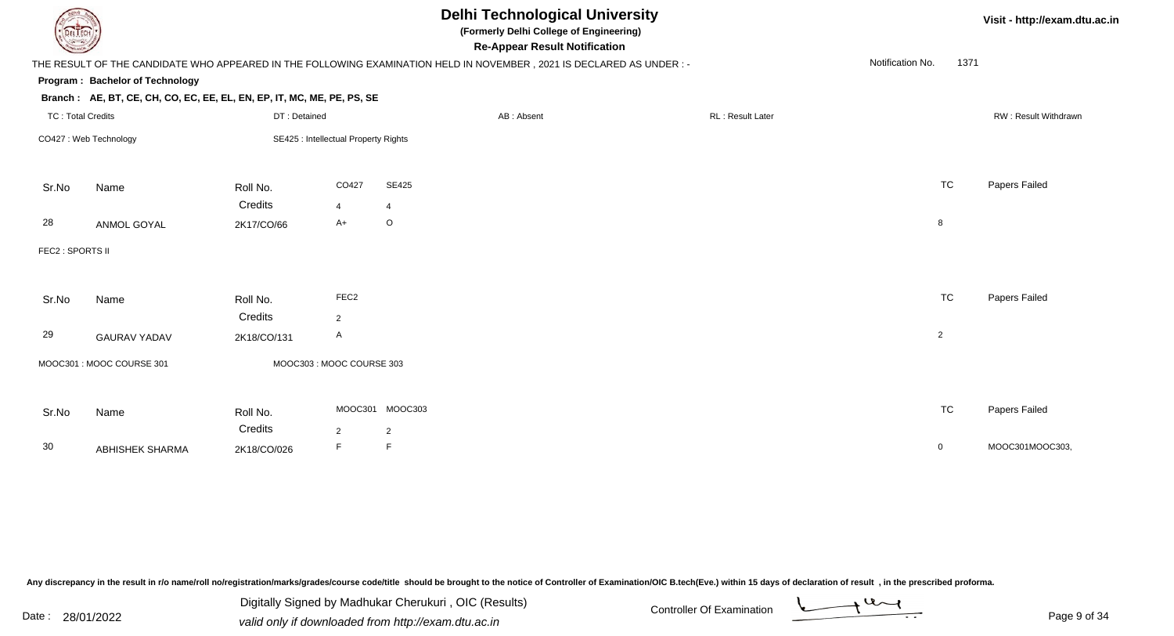| <b>DELIECH</b>           |                                                                        |              |                                      |                 | <b>Delhi Technological University</b><br>(Formerly Delhi College of Engineering)<br><b>Re-Appear Result Notification</b> |                         |                  | Visit - http://exam.dtu.ac.in |
|--------------------------|------------------------------------------------------------------------|--------------|--------------------------------------|-----------------|--------------------------------------------------------------------------------------------------------------------------|-------------------------|------------------|-------------------------------|
|                          |                                                                        |              |                                      |                 | THE RESULT OF THE CANDIDATE WHO APPEARED IN THE FOLLOWING EXAMINATION HELD IN NOVEMBER, 2021 IS DECLARED AS UNDER :-     |                         | Notification No. | 1371                          |
|                          | Program: Bachelor of Technology                                        |              |                                      |                 |                                                                                                                          |                         |                  |                               |
|                          | Branch: AE, BT, CE, CH, CO, EC, EE, EL, EN, EP, IT, MC, ME, PE, PS, SE |              |                                      |                 |                                                                                                                          |                         |                  |                               |
| <b>TC: Total Credits</b> |                                                                        | DT: Detained |                                      |                 | AB: Absent                                                                                                               | <b>RL: Result Later</b> |                  | RW: Result Withdrawn          |
|                          | CO427: Web Technology                                                  |              | SE425 : Intellectual Property Rights |                 |                                                                                                                          |                         |                  |                               |
| Sr.No                    | Name                                                                   | Roll No.     | CO427                                | <b>SE425</b>    |                                                                                                                          |                         | <b>TC</b>        | Papers Failed                 |
|                          |                                                                        | Credits      | $\overline{4}$                       | $\overline{4}$  |                                                                                                                          |                         |                  |                               |
| 28                       | ANMOL GOYAL                                                            | 2K17/CO/66   | $A+$                                 | $\circ$         |                                                                                                                          |                         | 8                |                               |
| FEC2 : SPORTS II         |                                                                        |              |                                      |                 |                                                                                                                          |                         |                  |                               |
| Sr.No                    | Name                                                                   | Roll No.     | FEC <sub>2</sub>                     |                 |                                                                                                                          |                         | <b>TC</b>        | Papers Failed                 |
|                          |                                                                        | Credits      | $\overline{2}$                       |                 |                                                                                                                          |                         |                  |                               |
| 29                       | <b>GAURAV YADAV</b>                                                    | 2K18/CO/131  | A                                    |                 |                                                                                                                          |                         | $\overline{2}$   |                               |
|                          | MOOC301 : MOOC COURSE 301                                              |              | MOOC303: MOOC COURSE 303             |                 |                                                                                                                          |                         |                  |                               |
| Sr.No                    | Name                                                                   | Roll No.     |                                      | MOOC301 MOOC303 |                                                                                                                          |                         | <b>TC</b>        | Papers Failed                 |
|                          |                                                                        | Credits      | $\overline{2}$                       | $\overline{2}$  |                                                                                                                          |                         |                  |                               |
| 30                       | <b>ABHISHEK SHARMA</b>                                                 | 2K18/CO/026  | F                                    | F               |                                                                                                                          |                         | $\overline{0}$   | MOOC301MOOC303,               |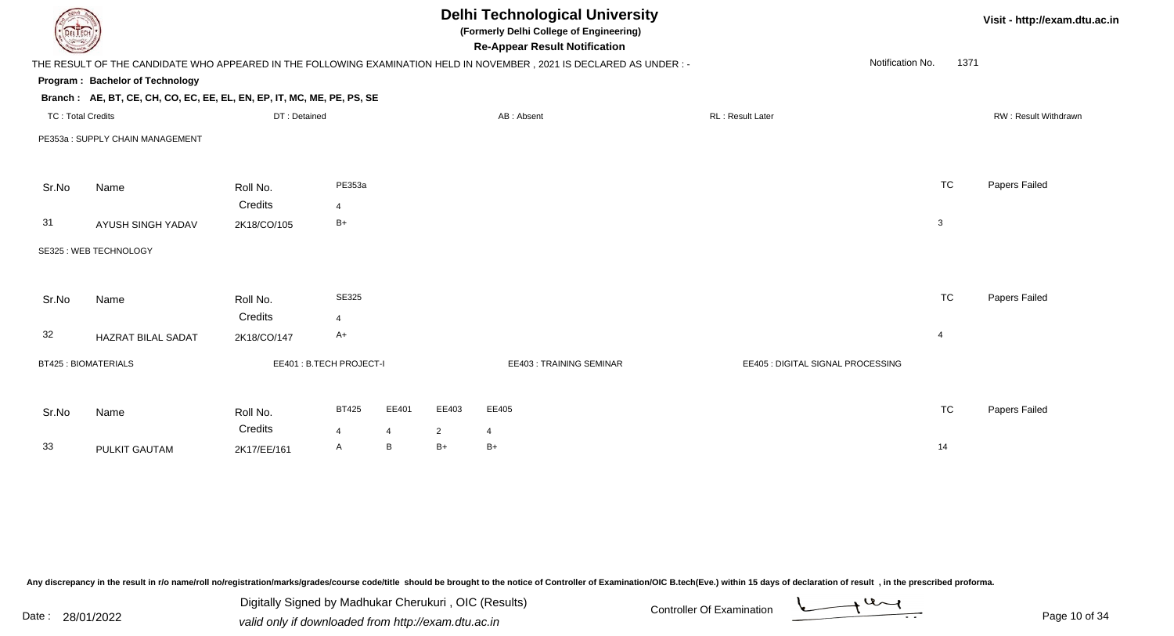| DEL TECH                 |                                                                        |                         |                |                |                | <b>Delhi Technological University</b><br>(Formerly Delhi College of Engineering)<br><b>Re-Appear Result Notification</b> |                                   |                          | Visit - http://exam.dtu.ac.in |
|--------------------------|------------------------------------------------------------------------|-------------------------|----------------|----------------|----------------|--------------------------------------------------------------------------------------------------------------------------|-----------------------------------|--------------------------|-------------------------------|
|                          |                                                                        |                         |                |                |                | THE RESULT OF THE CANDIDATE WHO APPEARED IN THE FOLLOWING EXAMINATION HELD IN NOVEMBER, 2021 IS DECLARED AS UNDER :-     |                                   | Notification No.<br>1371 |                               |
|                          | Program: Bachelor of Technology                                        |                         |                |                |                |                                                                                                                          |                                   |                          |                               |
|                          | Branch: AE, BT, CE, CH, CO, EC, EE, EL, EN, EP, IT, MC, ME, PE, PS, SE |                         |                |                |                |                                                                                                                          |                                   |                          |                               |
| <b>TC: Total Credits</b> |                                                                        | DT: Detained            |                |                |                | AB: Absent                                                                                                               | RL: Result Later                  |                          | RW: Result Withdrawn          |
|                          | PE353a: SUPPLY CHAIN MANAGEMENT                                        |                         |                |                |                |                                                                                                                          |                                   |                          |                               |
| Sr.No                    | Name                                                                   | Roll No.                | PE353a         |                |                |                                                                                                                          |                                   | <b>TC</b>                | Papers Failed                 |
|                          |                                                                        | Credits                 | $\overline{4}$ |                |                |                                                                                                                          |                                   |                          |                               |
| 31                       | AYUSH SINGH YADAV                                                      | 2K18/CO/105             | $B+$           |                |                |                                                                                                                          |                                   | 3                        |                               |
|                          | SE325 : WEB TECHNOLOGY                                                 |                         |                |                |                |                                                                                                                          |                                   |                          |                               |
| Sr.No                    | Name                                                                   | Roll No.                | <b>SE325</b>   |                |                |                                                                                                                          |                                   | <b>TC</b>                | Papers Failed                 |
|                          |                                                                        | Credits                 | 4              |                |                |                                                                                                                          |                                   |                          |                               |
| 32                       | HAZRAT BILAL SADAT                                                     | 2K18/CO/147             | A+             |                |                |                                                                                                                          |                                   | $\overline{4}$           |                               |
|                          | <b>BT425: BIOMATERIALS</b>                                             | EE401: B.TECH PROJECT-I |                |                |                | EE403: TRAINING SEMINAR                                                                                                  | EE405 : DIGITAL SIGNAL PROCESSING |                          |                               |
|                          |                                                                        |                         |                |                |                |                                                                                                                          |                                   |                          |                               |
| Sr.No                    | Name                                                                   | Roll No.                | <b>BT425</b>   | EE401          | EE403          | EE405                                                                                                                    |                                   | <b>TC</b>                | Papers Failed                 |
|                          |                                                                        | Credits                 | 4              | $\overline{4}$ | $\overline{2}$ | $\overline{4}$                                                                                                           |                                   |                          |                               |
| 33                       | PULKIT GAUTAM                                                          | 2K17/EE/161             | A              | B              | $B+$           | $B+$                                                                                                                     |                                   | 14                       |                               |
|                          |                                                                        |                         |                |                |                |                                                                                                                          |                                   |                          |                               |

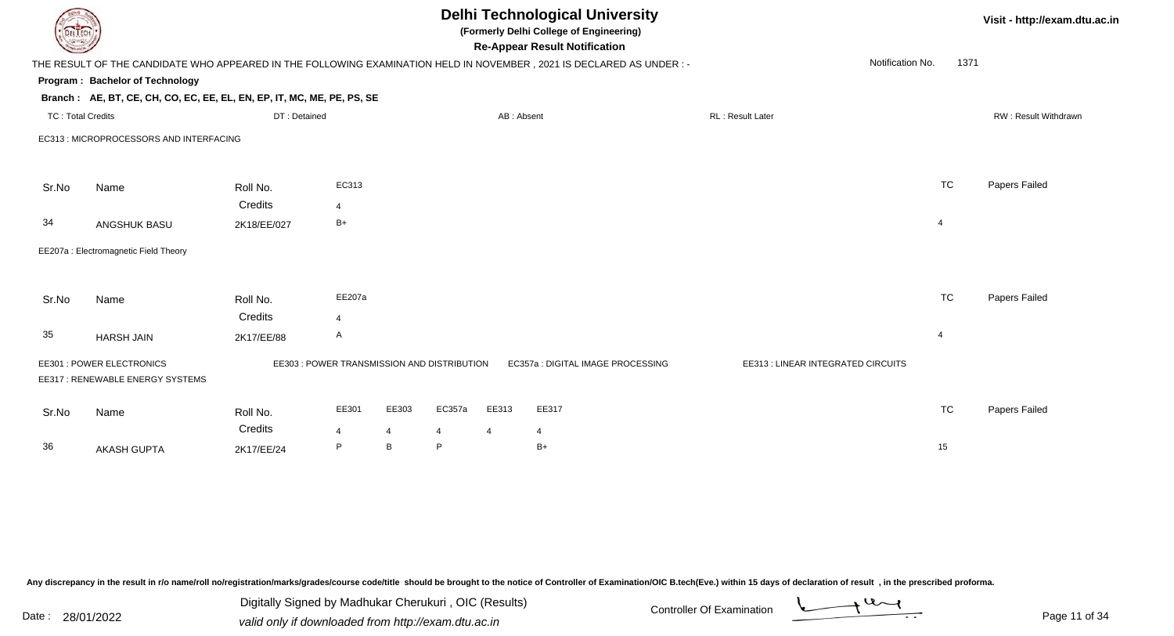| DEL TECH          |                                                                        |                                             |                |       |                |                | <b>Delhi Technological University</b><br>(Formerly Delhi College of Engineering)<br><b>Re-Appear Result Notification</b> |                                    |                  |      | Visit - http://exam.dtu.ac.in |
|-------------------|------------------------------------------------------------------------|---------------------------------------------|----------------|-------|----------------|----------------|--------------------------------------------------------------------------------------------------------------------------|------------------------------------|------------------|------|-------------------------------|
|                   |                                                                        |                                             |                |       |                |                | THE RESULT OF THE CANDIDATE WHO APPEARED IN THE FOLLOWING EXAMINATION HELD IN NOVEMBER, 2021 IS DECLARED AS UNDER :-     |                                    | Notification No. | 1371 |                               |
|                   | Program: Bachelor of Technology                                        |                                             |                |       |                |                |                                                                                                                          |                                    |                  |      |                               |
|                   | Branch: AE, BT, CE, CH, CO, EC, EE, EL, EN, EP, IT, MC, ME, PE, PS, SE |                                             |                |       |                |                |                                                                                                                          |                                    |                  |      |                               |
| TC: Total Credits |                                                                        | DT: Detained                                |                |       |                | AB: Absent     |                                                                                                                          | RL: Result Later                   |                  |      | RW: Result Withdrawn          |
|                   | EC313 : MICROPROCESSORS AND INTERFACING                                |                                             |                |       |                |                |                                                                                                                          |                                    |                  |      |                               |
|                   |                                                                        |                                             |                |       |                |                |                                                                                                                          |                                    |                  |      |                               |
| Sr.No             | Name                                                                   | Roll No.                                    | EC313          |       |                |                |                                                                                                                          |                                    | <b>TC</b>        |      | Papers Failed                 |
|                   |                                                                        | Credits                                     | $\overline{4}$ |       |                |                |                                                                                                                          |                                    |                  |      |                               |
| 34                | ANGSHUK BASU                                                           | 2K18/EE/027                                 | $B+$           |       |                |                |                                                                                                                          |                                    | $\overline{4}$   |      |                               |
|                   | EE207a : Electromagnetic Field Theory                                  |                                             |                |       |                |                |                                                                                                                          |                                    |                  |      |                               |
|                   |                                                                        |                                             |                |       |                |                |                                                                                                                          |                                    |                  |      |                               |
| Sr.No             | Name                                                                   | Roll No.                                    | EE207a         |       |                |                |                                                                                                                          |                                    | <b>TC</b>        |      | Papers Failed                 |
|                   |                                                                        | Credits                                     | $\overline{4}$ |       |                |                |                                                                                                                          |                                    |                  |      |                               |
| 35                | <b>HARSH JAIN</b>                                                      | 2K17/EE/88                                  | A              |       |                |                |                                                                                                                          |                                    | $\overline{4}$   |      |                               |
|                   | EE301 : POWER ELECTRONICS<br>EE317: RENEWABLE ENERGY SYSTEMS           | EE303 : POWER TRANSMISSION AND DISTRIBUTION |                |       |                |                | EC357a : DIGITAL IMAGE PROCESSING                                                                                        | EE313 : LINEAR INTEGRATED CIRCUITS |                  |      |                               |
| Sr.No             | Name                                                                   | Roll No.                                    | EE301          | EE303 | EC357a         | EE313          | EE317                                                                                                                    |                                    | <b>TC</b>        |      | Papers Failed                 |
|                   |                                                                        | Credits                                     | $\overline{4}$ | 4     | $\overline{4}$ | $\overline{4}$ | 4                                                                                                                        |                                    |                  |      |                               |
| 36                | <b>AKASH GUPTA</b>                                                     | 2K17/EE/24                                  | P              | B     | P              |                | $B+$                                                                                                                     |                                    | 15               |      |                               |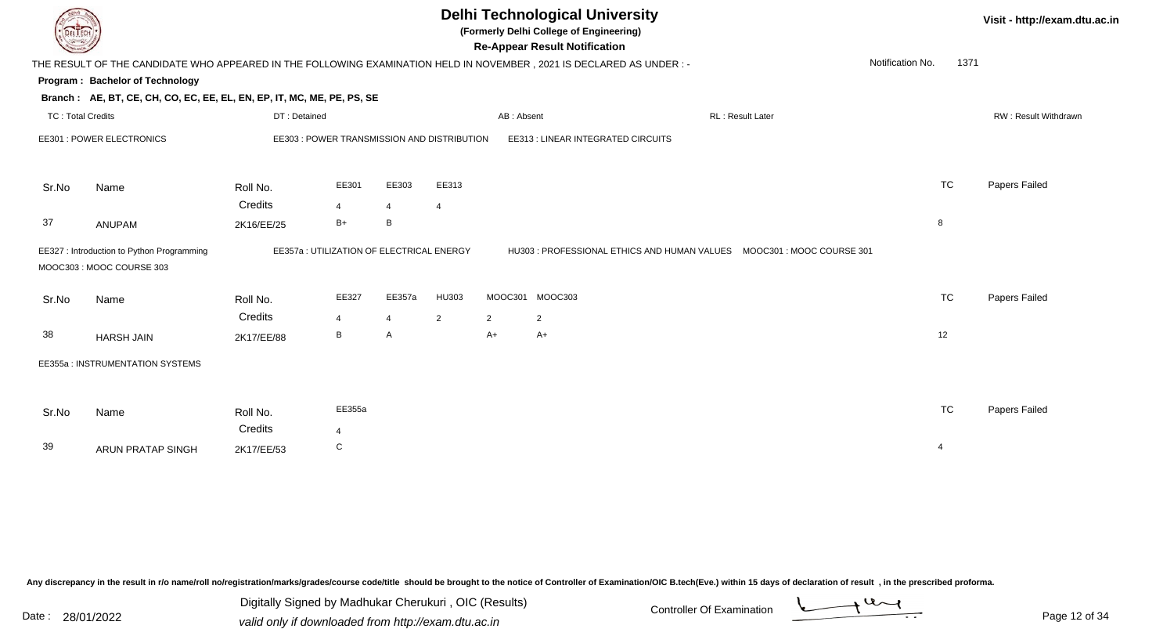| <b>DELTECH</b>    |                                                                          |                                           |                |                |                                    |                | <b>Delhi Technological University</b><br>(Formerly Delhi College of Engineering)<br><b>Re-Appear Result Notification</b> |                         |                  |           | Visit - http://exam.dtu.ac.in |
|-------------------|--------------------------------------------------------------------------|-------------------------------------------|----------------|----------------|------------------------------------|----------------|--------------------------------------------------------------------------------------------------------------------------|-------------------------|------------------|-----------|-------------------------------|
|                   |                                                                          |                                           |                |                |                                    |                | THE RESULT OF THE CANDIDATE WHO APPEARED IN THE FOLLOWING EXAMINATION HELD IN NOVEMBER, 2021 IS DECLARED AS UNDER:-      |                         | Notification No. | 1371      |                               |
|                   | Program: Bachelor of Technology                                          |                                           |                |                |                                    |                |                                                                                                                          |                         |                  |           |                               |
|                   | Branch: AE, BT, CE, CH, CO, EC, EE, EL, EN, EP, IT, MC, ME, PE, PS, SE   |                                           |                |                |                                    |                |                                                                                                                          |                         |                  |           |                               |
| TC: Total Credits |                                                                          | DT: Detained                              |                |                |                                    | AB: Absent     |                                                                                                                          | <b>RL: Result Later</b> |                  |           | RW: Result Withdrawn          |
|                   | EE301 : POWER ELECTRONICS<br>EE303 : POWER TRANSMISSION AND DISTRIBUTION |                                           |                |                | EE313 : LINEAR INTEGRATED CIRCUITS |                |                                                                                                                          |                         |                  |           |                               |
| Sr.No             | Name                                                                     | Roll No.                                  | EE301          | EE303          | EE313                              |                |                                                                                                                          |                         |                  | <b>TC</b> | Papers Failed                 |
|                   |                                                                          | Credits                                   | $\overline{4}$ | $\overline{4}$ | 4                                  |                |                                                                                                                          |                         |                  |           |                               |
| 37                | ANUPAM                                                                   | 2K16/EE/25                                | $B+$           | B              |                                    |                |                                                                                                                          |                         | 8                |           |                               |
|                   | EE327 : Introduction to Python Programming<br>MOOC303: MOOC COURSE 303   | EE357a : UTILIZATION OF ELECTRICAL ENERGY |                |                |                                    |                | HU303 : PROFESSIONAL ETHICS AND HUMAN VALUES   MOOC301 : MOOC COURSE 301                                                 |                         |                  |           |                               |
| Sr.No             | Name                                                                     | Roll No.                                  | EE327          | EE357a         | HU303                              |                | MOOC301 MOOC303                                                                                                          |                         |                  | <b>TC</b> | Papers Failed                 |
|                   |                                                                          | Credits                                   | $\overline{4}$ | $\overline{4}$ | $\overline{2}$                     | $\overline{2}$ | 2                                                                                                                        |                         |                  |           |                               |
| 38                | <b>HARSH JAIN</b>                                                        | 2K17/EE/88                                | B              | A              |                                    | $A+$           | $A+$                                                                                                                     |                         | 12               |           |                               |
|                   | EE355a : INSTRUMENTATION SYSTEMS                                         |                                           |                |                |                                    |                |                                                                                                                          |                         |                  |           |                               |
| Sr.No             | Name                                                                     | Roll No.                                  | EE355a         |                |                                    |                |                                                                                                                          |                         |                  | <b>TC</b> | Papers Failed                 |
|                   |                                                                          | Credits                                   | $\overline{4}$ |                |                                    |                |                                                                                                                          |                         |                  |           |                               |
| 39                | <b>ARUN PRATAP SINGH</b>                                                 | 2K17/EE/53                                | $\mathbf C$    |                |                                    |                |                                                                                                                          |                         | $\overline{4}$   |           |                               |
|                   |                                                                          |                                           |                |                |                                    |                |                                                                                                                          |                         |                  |           |                               |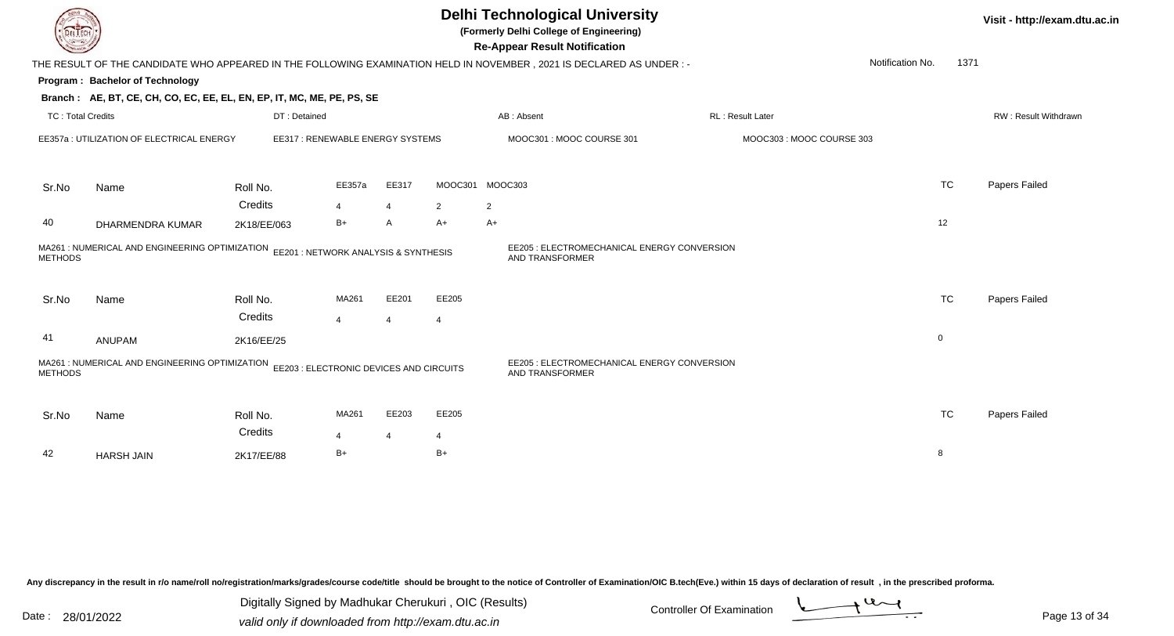|                          |                                                                        |                                         |                         |                         |                         | <b>Delhi Technological University</b><br>(Formerly Delhi College of Engineering)<br><b>Re-Appear Result Notification</b> |                          |                          | Visit - http://exam.dtu.ac.in |
|--------------------------|------------------------------------------------------------------------|-----------------------------------------|-------------------------|-------------------------|-------------------------|--------------------------------------------------------------------------------------------------------------------------|--------------------------|--------------------------|-------------------------------|
|                          |                                                                        |                                         |                         |                         |                         | THE RESULT OF THE CANDIDATE WHO APPEARED IN THE FOLLOWING EXAMINATION HELD IN NOVEMBER, 2021 IS DECLARED AS UNDER:-      |                          | Notification No.<br>1371 |                               |
|                          | Program: Bachelor of Technology                                        |                                         |                         |                         |                         |                                                                                                                          |                          |                          |                               |
|                          | Branch: AE, BT, CE, CH, CO, EC, EE, EL, EN, EP, IT, MC, ME, PE, PS, SE |                                         |                         |                         |                         |                                                                                                                          |                          |                          |                               |
| <b>TC: Total Credits</b> |                                                                        | DT: Detained                            |                         |                         |                         | AB: Absent                                                                                                               | RL: Result Later         |                          | RW: Result Withdrawn          |
|                          | EE357a : UTILIZATION OF ELECTRICAL ENERGY                              | EE317: RENEWABLE ENERGY SYSTEMS         |                         |                         |                         | MOOC301 : MOOC COURSE 301                                                                                                | MOOC303: MOOC COURSE 303 |                          |                               |
| Sr.No                    | Name                                                                   | Roll No.                                | EE357a                  | EE317                   |                         | MOOC301 MOOC303                                                                                                          |                          | <b>TC</b>                | Papers Failed                 |
|                          |                                                                        | Credits                                 | $\overline{4}$          | $\overline{4}$          | $\overline{2}$          | $\overline{2}$                                                                                                           |                          |                          |                               |
| 40                       | DHARMENDRA KUMAR                                                       | 2K18/EE/063                             | $B+$                    | A                       | $A+$                    | $A+$                                                                                                                     |                          | 12                       |                               |
| <b>METHODS</b>           | MA261 : NUMERICAL AND ENGINEERING OPTIMIZATION                         | EE201 : NETWORK ANALYSIS & SYNTHESIS    |                         |                         |                         | EE205 : ELECTROMECHANICAL ENERGY CONVERSION<br>AND TRANSFORMER                                                           |                          |                          |                               |
| Sr.No                    | Name                                                                   | Roll No.<br>Credits                     | MA261<br>$\overline{4}$ | EE201<br>$\overline{4}$ | EE205<br>$\overline{4}$ |                                                                                                                          |                          | <b>TC</b>                | Papers Failed                 |
| 41                       | ANUPAM                                                                 | 2K16/EE/25                              |                         |                         |                         |                                                                                                                          |                          | $\mathbf 0$              |                               |
| <b>METHODS</b>           | MA261 : NUMERICAL AND ENGINEERING OPTIMIZATION                         | EE203 : ELECTRONIC DEVICES AND CIRCUITS |                         |                         |                         | EE205 : ELECTROMECHANICAL ENERGY CONVERSION<br><b>AND TRANSFORMER</b>                                                    |                          |                          |                               |
| Sr.No                    | Name                                                                   | Roll No.<br>Credits                     | MA261<br>4              | EE203<br>$\overline{4}$ | EE205<br>4              |                                                                                                                          |                          | <b>TC</b>                | Papers Failed                 |
| 42                       | <b>HARSH JAIN</b>                                                      | 2K17/EE/88                              | $B+$                    |                         | $B+$                    |                                                                                                                          |                          | 8                        |                               |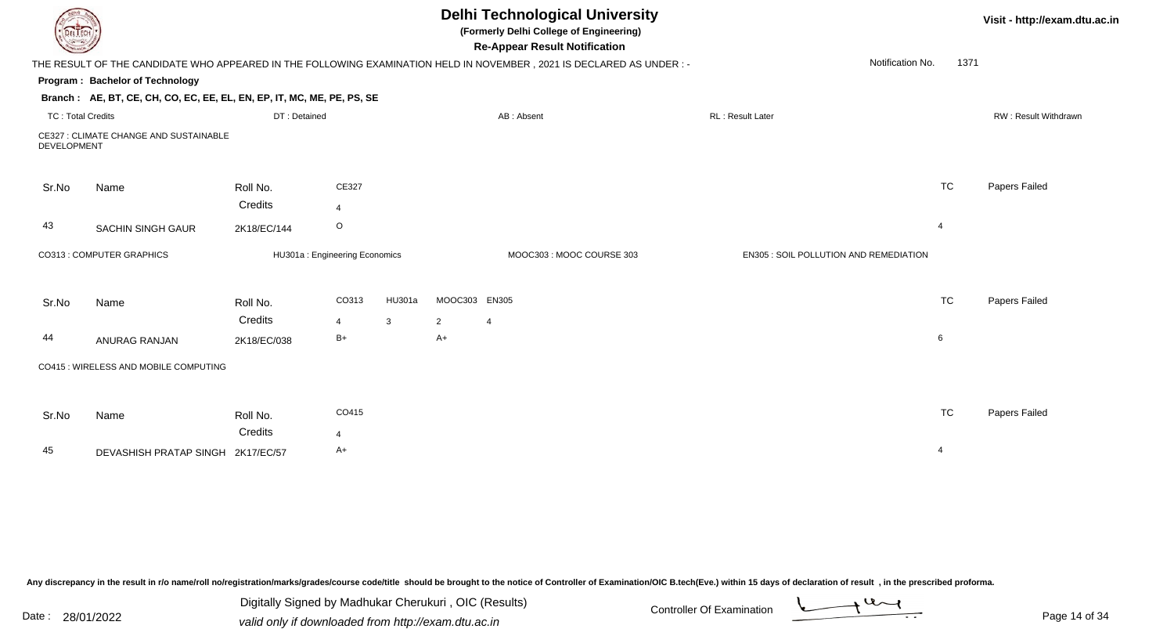| EL I ECH                 |                                                                        |                               |                         |              |                | <b>Delhi Technological University</b><br>(Formerly Delhi College of Engineering)<br><b>Re-Appear Result Notification</b> |                                        |                  |           | Visit - http://exam.dtu.ac.in |
|--------------------------|------------------------------------------------------------------------|-------------------------------|-------------------------|--------------|----------------|--------------------------------------------------------------------------------------------------------------------------|----------------------------------------|------------------|-----------|-------------------------------|
|                          |                                                                        |                               |                         |              |                | THE RESULT OF THE CANDIDATE WHO APPEARED IN THE FOLLOWING EXAMINATION HELD IN NOVEMBER, 2021 IS DECLARED AS UNDER:-      |                                        | Notification No. | 1371      |                               |
|                          | Program: Bachelor of Technology                                        |                               |                         |              |                |                                                                                                                          |                                        |                  |           |                               |
|                          | Branch: AE, BT, CE, CH, CO, EC, EE, EL, EN, EP, IT, MC, ME, PE, PS, SE |                               |                         |              |                |                                                                                                                          |                                        |                  |           |                               |
| <b>TC: Total Credits</b> |                                                                        | DT: Detained                  |                         |              |                | AB: Absent                                                                                                               | RL: Result Later                       |                  |           | RW: Result Withdrawn          |
| <b>DEVELOPMENT</b>       | CE327 : CLIMATE CHANGE AND SUSTAINABLE                                 |                               |                         |              |                |                                                                                                                          |                                        |                  |           |                               |
| Sr.No                    | Name                                                                   | Roll No.<br>Credits           | CE327<br>$\overline{4}$ |              |                |                                                                                                                          |                                        |                  | <b>TC</b> | Papers Failed                 |
| 43                       | <b>SACHIN SINGH GAUR</b>                                               | 2K18/EC/144                   | $\circ$                 |              |                |                                                                                                                          |                                        | $\overline{4}$   |           |                               |
|                          | CO313 : COMPUTER GRAPHICS                                              | HU301a: Engineering Economics |                         |              |                | MOOC303: MOOC COURSE 303                                                                                                 | EN305 : SOIL POLLUTION AND REMEDIATION |                  |           |                               |
| Sr.No                    | Name                                                                   | Roll No.                      | CO313                   | HU301a       | MOOC303 EN305  |                                                                                                                          |                                        |                  | <b>TC</b> | Papers Failed                 |
|                          |                                                                        | Credits                       | 4                       | $\mathbf{3}$ | $\overline{2}$ | 4                                                                                                                        |                                        |                  |           |                               |
| 44                       | ANURAG RANJAN                                                          | 2K18/EC/038                   | $B+$                    |              | $A+$           |                                                                                                                          |                                        | $\,6\,$          |           |                               |
|                          | CO415 : WIRELESS AND MOBILE COMPUTING                                  |                               |                         |              |                |                                                                                                                          |                                        |                  |           |                               |
|                          |                                                                        |                               | CO415                   |              |                |                                                                                                                          |                                        |                  | <b>TC</b> |                               |
| Sr.No                    | Name                                                                   | Roll No.                      |                         |              |                |                                                                                                                          |                                        |                  |           | Papers Failed                 |
|                          |                                                                        | Credits                       | 4                       |              |                |                                                                                                                          |                                        |                  |           |                               |
| 45                       | DEVASHISH PRATAP SINGH 2K17/EC/57                                      |                               | A+                      |              |                |                                                                                                                          |                                        | $\overline{4}$   |           |                               |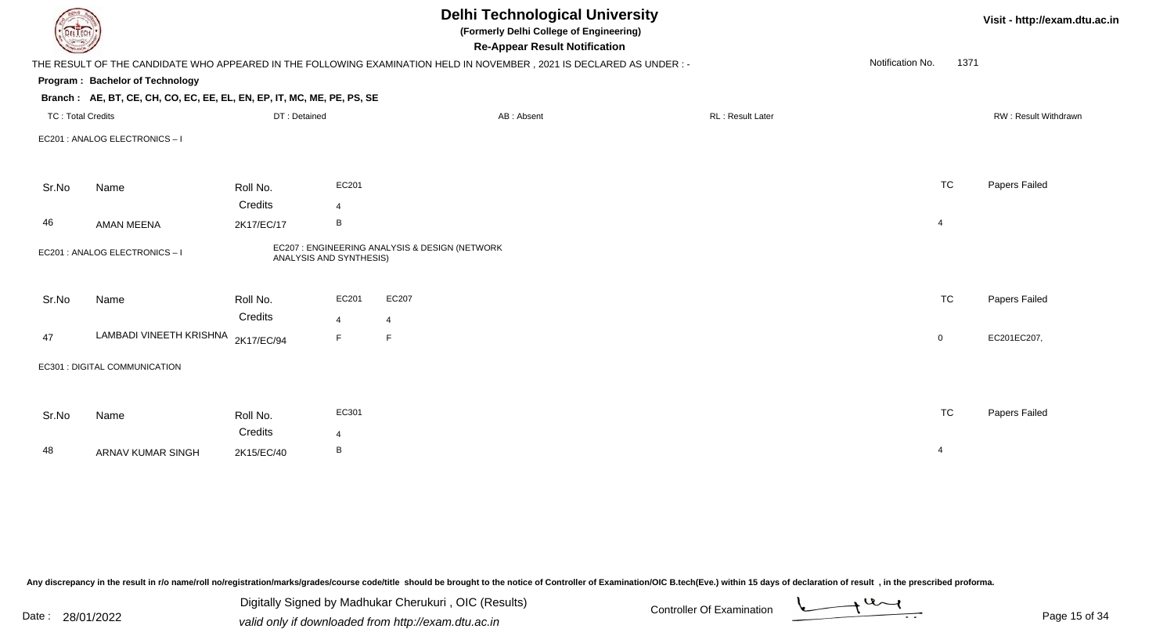|                          |                                                                                                                                                                                                                |                     | <b>Delhi Technological University</b><br>(Formerly Delhi College of Engineering)<br><b>Re-Appear Result Notification</b> |                                                                                                                                                                                                                                                                            |                  | Visit - http://exam.dtu.ac.in |
|--------------------------|----------------------------------------------------------------------------------------------------------------------------------------------------------------------------------------------------------------|---------------------|--------------------------------------------------------------------------------------------------------------------------|----------------------------------------------------------------------------------------------------------------------------------------------------------------------------------------------------------------------------------------------------------------------------|------------------|-------------------------------|
|                          |                                                                                                                                                                                                                |                     |                                                                                                                          |                                                                                                                                                                                                                                                                            | Notification No. |                               |
|                          |                                                                                                                                                                                                                |                     |                                                                                                                          |                                                                                                                                                                                                                                                                            |                  |                               |
|                          |                                                                                                                                                                                                                |                     |                                                                                                                          |                                                                                                                                                                                                                                                                            |                  |                               |
|                          | DT: Detained                                                                                                                                                                                                   |                     | AB: Absent                                                                                                               | <b>RL: Result Later</b>                                                                                                                                                                                                                                                    |                  | RW: Result Withdrawn          |
|                          |                                                                                                                                                                                                                |                     |                                                                                                                          |                                                                                                                                                                                                                                                                            |                  |                               |
|                          |                                                                                                                                                                                                                | EC201               |                                                                                                                          |                                                                                                                                                                                                                                                                            | <b>TC</b>        | Papers Failed                 |
|                          | Credits                                                                                                                                                                                                        | $\overline{4}$      |                                                                                                                          |                                                                                                                                                                                                                                                                            |                  |                               |
| AMAN MEENA               | 2K17/EC/17                                                                                                                                                                                                     | B                   |                                                                                                                          |                                                                                                                                                                                                                                                                            | $\overline{4}$   |                               |
|                          |                                                                                                                                                                                                                |                     |                                                                                                                          |                                                                                                                                                                                                                                                                            |                  |                               |
| Name                     | Roll No.                                                                                                                                                                                                       | EC201               | EC207                                                                                                                    |                                                                                                                                                                                                                                                                            | <b>TC</b>        | Papers Failed                 |
|                          |                                                                                                                                                                                                                | $\overline{4}$      | $\overline{4}$                                                                                                           |                                                                                                                                                                                                                                                                            |                  |                               |
|                          | 2K17/EC/94                                                                                                                                                                                                     | E                   | F                                                                                                                        |                                                                                                                                                                                                                                                                            | $\overline{0}$   | EC201EC207,                   |
|                          |                                                                                                                                                                                                                |                     |                                                                                                                          |                                                                                                                                                                                                                                                                            |                  |                               |
|                          |                                                                                                                                                                                                                |                     |                                                                                                                          |                                                                                                                                                                                                                                                                            |                  |                               |
| Name                     | Roll No.                                                                                                                                                                                                       | EC301               |                                                                                                                          |                                                                                                                                                                                                                                                                            | <b>TC</b>        | Papers Failed                 |
|                          | Credits                                                                                                                                                                                                        | $\overline{4}$      |                                                                                                                          |                                                                                                                                                                                                                                                                            |                  |                               |
| <b>ARNAV KUMAR SINGH</b> | 2K15/EC/40                                                                                                                                                                                                     | B                   |                                                                                                                          |                                                                                                                                                                                                                                                                            | $\overline{4}$   |                               |
|                          | DEL ECH<br>Program: Bachelor of Technology<br><b>TC: Total Credits</b><br>EC201 : ANALOG ELECTRONICS - I<br>Name<br>EC201 : ANALOG ELECTRONICS - I<br>LAMBADI VINEETH KRISHNA<br>EC301 : DIGITAL COMMUNICATION | Roll No.<br>Credits |                                                                                                                          | THE RESULT OF THE CANDIDATE WHO APPEARED IN THE FOLLOWING EXAMINATION HELD IN NOVEMBER, 2021 IS DECLARED AS UNDER:-<br>Branch: AE, BT, CE, CH, CO, EC, EE, EL, EN, EP, IT, MC, ME, PE, PS, SE<br>EC207 : ENGINEERING ANALYSIS & DESIGN (NETWORK<br>ANALYSIS AND SYNTHESIS) |                  | 1371                          |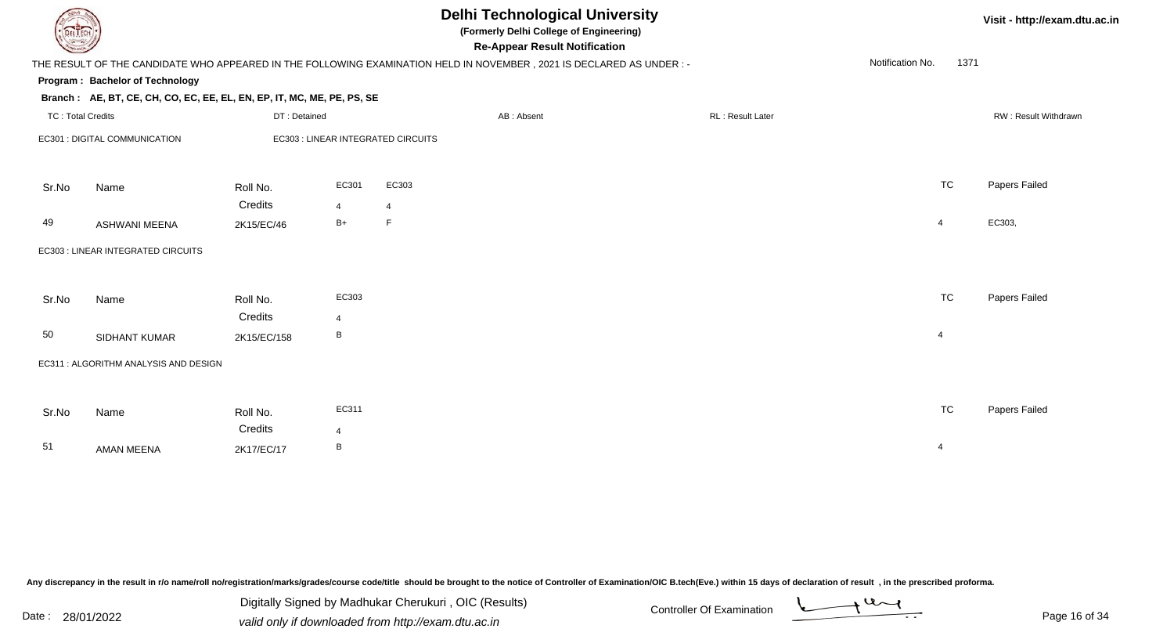| DEL TECH                 |                                                                                                                      |              |                |                | <b>Delhi Technological University</b><br>(Formerly Delhi College of Engineering)<br><b>Re-Appear Result Notification</b> |  |                   |                  |                | Visit - http://exam.dtu.ac.in |  |  |
|--------------------------|----------------------------------------------------------------------------------------------------------------------|--------------|----------------|----------------|--------------------------------------------------------------------------------------------------------------------------|--|-------------------|------------------|----------------|-------------------------------|--|--|
|                          | THE RESULT OF THE CANDIDATE WHO APPEARED IN THE FOLLOWING EXAMINATION HELD IN NOVEMBER, 2021 IS DECLARED AS UNDER :- |              |                |                |                                                                                                                          |  |                   | Notification No. | 1371           |                               |  |  |
|                          | <b>Program: Bachelor of Technology</b>                                                                               |              |                |                |                                                                                                                          |  |                   |                  |                |                               |  |  |
|                          | Branch: AE, BT, CE, CH, CO, EC, EE, EL, EN, EP, IT, MC, ME, PE, PS, SE                                               |              |                |                |                                                                                                                          |  |                   |                  |                |                               |  |  |
| <b>TC: Total Credits</b> |                                                                                                                      | DT: Detained |                |                | AB: Absent                                                                                                               |  | RL : Result Later |                  |                | RW: Result Withdrawn          |  |  |
|                          | EC301 : DIGITAL COMMUNICATION<br>EC303 : LINEAR INTEGRATED CIRCUITS                                                  |              |                |                |                                                                                                                          |  |                   |                  |                |                               |  |  |
| Sr.No                    | Name                                                                                                                 | Roll No.     | EC301          | EC303          |                                                                                                                          |  |                   |                  | <b>TC</b>      | Papers Failed                 |  |  |
|                          |                                                                                                                      | Credits      | $\overline{4}$ | $\overline{4}$ |                                                                                                                          |  |                   |                  |                |                               |  |  |
| 49                       | <b>ASHWANI MEENA</b>                                                                                                 | 2K15/EC/46   | $B+$           | $\mathsf F$    |                                                                                                                          |  |                   |                  | $\overline{4}$ | EC303,                        |  |  |
|                          | EC303 : LINEAR INTEGRATED CIRCUITS                                                                                   |              |                |                |                                                                                                                          |  |                   |                  |                |                               |  |  |
| Sr.No                    | Name                                                                                                                 | Roll No.     | EC303          |                |                                                                                                                          |  |                   |                  | <b>TC</b>      | Papers Failed                 |  |  |
|                          |                                                                                                                      | Credits      | $\overline{4}$ |                |                                                                                                                          |  |                   |                  |                |                               |  |  |
| 50                       | <b>SIDHANT KUMAR</b>                                                                                                 | 2K15/EC/158  | B              |                |                                                                                                                          |  |                   |                  | $\overline{4}$ |                               |  |  |
|                          | EC311 : ALGORITHM ANALYSIS AND DESIGN                                                                                |              |                |                |                                                                                                                          |  |                   |                  |                |                               |  |  |
|                          |                                                                                                                      |              |                |                |                                                                                                                          |  |                   |                  |                |                               |  |  |
| Sr.No                    | Name                                                                                                                 | Roll No.     | EC311          |                |                                                                                                                          |  |                   |                  | <b>TC</b>      | Papers Failed                 |  |  |
|                          |                                                                                                                      | Credits      | $\overline{4}$ |                |                                                                                                                          |  |                   |                  |                |                               |  |  |
| 51                       | <b>AMAN MEENA</b>                                                                                                    | 2K17/EC/17   | B              |                |                                                                                                                          |  |                   |                  | $\overline{4}$ |                               |  |  |

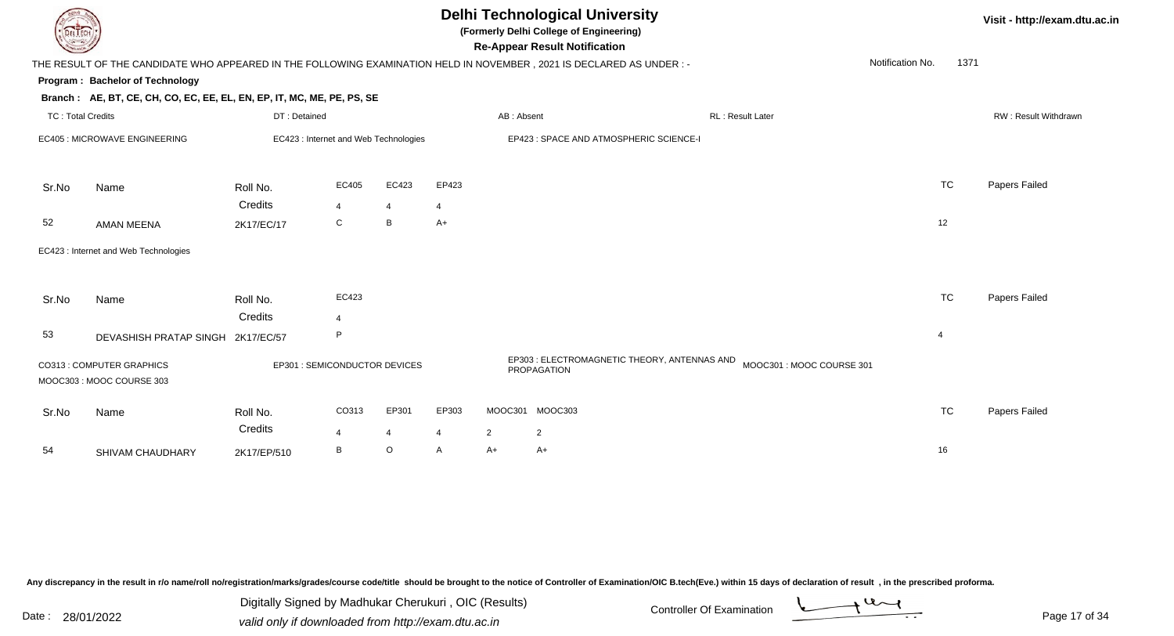| <b>Delhi Technological University</b><br>(Formerly Delhi College of Engineering)<br>DEL ECH<br><b>Re-Appear Result Notification</b> |                                                                        |                               |                                                                                  |                         |                         |                |                                                                                                                     |                  |                  | Visit - http://exam.dtu.ac.in |                      |
|-------------------------------------------------------------------------------------------------------------------------------------|------------------------------------------------------------------------|-------------------------------|----------------------------------------------------------------------------------|-------------------------|-------------------------|----------------|---------------------------------------------------------------------------------------------------------------------|------------------|------------------|-------------------------------|----------------------|
|                                                                                                                                     |                                                                        |                               |                                                                                  |                         |                         |                | THE RESULT OF THE CANDIDATE WHO APPEARED IN THE FOLLOWING EXAMINATION HELD IN NOVEMBER, 2021 IS DECLARED AS UNDER:- |                  | Notification No. | 1371                          |                      |
|                                                                                                                                     | Program: Bachelor of Technology                                        |                               |                                                                                  |                         |                         |                |                                                                                                                     |                  |                  |                               |                      |
|                                                                                                                                     | Branch: AE, BT, CE, CH, CO, EC, EE, EL, EN, EP, IT, MC, ME, PE, PS, SE |                               |                                                                                  |                         |                         |                |                                                                                                                     |                  |                  |                               |                      |
| TC: Total Credits                                                                                                                   |                                                                        | DT: Detained                  |                                                                                  |                         |                         | AB: Absent     |                                                                                                                     | RL: Result Later |                  |                               | RW: Result Withdrawn |
|                                                                                                                                     | EC405 : MICROWAVE ENGINEERING                                          |                               | EC423 : Internet and Web Technologies<br>EP423 : SPACE AND ATMOSPHERIC SCIENCE-I |                         |                         |                |                                                                                                                     |                  |                  |                               |                      |
| Sr.No                                                                                                                               | Name                                                                   | Roll No.                      | EC405                                                                            | EC423                   | EP423                   |                |                                                                                                                     |                  | <b>TC</b>        |                               | Papers Failed        |
|                                                                                                                                     |                                                                        | Credits                       | $\overline{4}$                                                                   | $\overline{4}$          | $\overline{4}$          |                |                                                                                                                     |                  |                  |                               |                      |
| 52                                                                                                                                  | <b>AMAN MEENA</b>                                                      | 2K17/EC/17                    | $\mathsf C$                                                                      | B                       | $A+$                    |                |                                                                                                                     |                  | 12               |                               |                      |
|                                                                                                                                     | EC423 : Internet and Web Technologies                                  |                               |                                                                                  |                         |                         |                |                                                                                                                     |                  |                  |                               |                      |
| Sr.No                                                                                                                               | Name                                                                   | Roll No.                      | EC423                                                                            |                         |                         |                |                                                                                                                     |                  | <b>TC</b>        |                               | Papers Failed        |
|                                                                                                                                     |                                                                        | Credits                       | $\Delta$                                                                         |                         |                         |                |                                                                                                                     |                  |                  |                               |                      |
| 53                                                                                                                                  | DEVASHISH PRATAP SINGH 2K17/EC/57                                      |                               | P                                                                                |                         |                         |                |                                                                                                                     |                  | $\overline{4}$   |                               |                      |
|                                                                                                                                     | CO313 : COMPUTER GRAPHICS<br>MOOC303: MOOC COURSE 303                  | EP301 : SEMICONDUCTOR DEVICES |                                                                                  |                         |                         |                | EP303 : ELECTROMAGNETIC THEORY, ANTENNAS AND MOOC301 : MOOC COURSE 301<br>PROPAGATION                               |                  |                  |                               |                      |
| Sr.No                                                                                                                               | Name                                                                   | Roll No.<br>Credits           | CO313<br>$\overline{4}$                                                          | EP301<br>$\overline{4}$ | EP303<br>$\overline{4}$ | $\overline{2}$ | MOOC301 MOOC303<br>$\overline{2}$                                                                                   |                  | <b>TC</b>        |                               | Papers Failed        |
| 54                                                                                                                                  | SHIVAM CHAUDHARY                                                       | 2K17/EP/510                   | B                                                                                | $\circ$                 | A                       | $A+$           | $A+$                                                                                                                |                  | 16               |                               |                      |
|                                                                                                                                     |                                                                        |                               |                                                                                  |                         |                         |                |                                                                                                                     |                  |                  |                               |                      |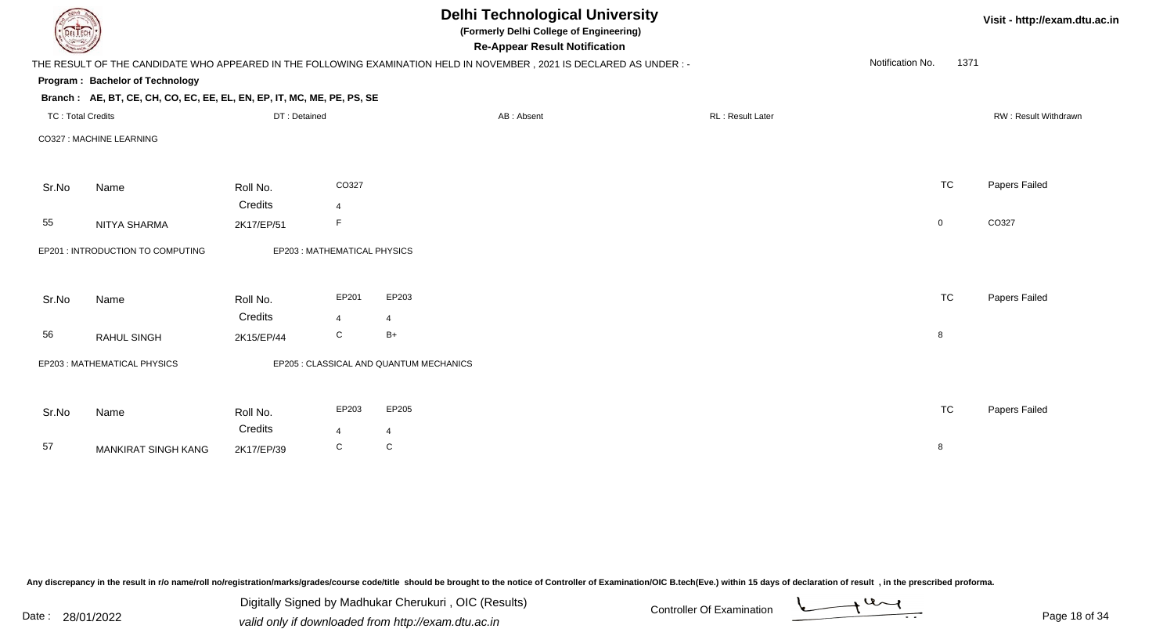|                          |                                                                                                                      |              |                             |                                         | <b>Delhi Technological University</b><br>(Formerly Delhi College of Engineering)<br><b>Re-Appear Result Notification</b> |                  |                  |             | Visit - http://exam.dtu.ac.in |
|--------------------------|----------------------------------------------------------------------------------------------------------------------|--------------|-----------------------------|-----------------------------------------|--------------------------------------------------------------------------------------------------------------------------|------------------|------------------|-------------|-------------------------------|
|                          | THE RESULT OF THE CANDIDATE WHO APPEARED IN THE FOLLOWING EXAMINATION HELD IN NOVEMBER, 2021 IS DECLARED AS UNDER :- |              |                             |                                         |                                                                                                                          |                  | Notification No. | 1371        |                               |
|                          | Program: Bachelor of Technology                                                                                      |              |                             |                                         |                                                                                                                          |                  |                  |             |                               |
|                          | Branch: AE, BT, CE, CH, CO, EC, EE, EL, EN, EP, IT, MC, ME, PE, PS, SE                                               |              |                             |                                         |                                                                                                                          |                  |                  |             |                               |
| <b>TC: Total Credits</b> |                                                                                                                      | DT: Detained |                             |                                         | AB: Absent                                                                                                               | RL: Result Later |                  |             | RW: Result Withdrawn          |
|                          | CO327 : MACHINE LEARNING                                                                                             |              |                             |                                         |                                                                                                                          |                  |                  |             |                               |
| Sr.No                    | Name                                                                                                                 | Roll No.     | CO327                       |                                         |                                                                                                                          |                  |                  | <b>TC</b>   | Papers Failed                 |
|                          |                                                                                                                      | Credits      | $\overline{4}$              |                                         |                                                                                                                          |                  |                  |             |                               |
| 55                       | NITYA SHARMA                                                                                                         | 2K17/EP/51   | F.                          |                                         |                                                                                                                          |                  |                  | $\mathbf 0$ | CO327                         |
|                          | EP201 : INTRODUCTION TO COMPUTING                                                                                    |              | EP203: MATHEMATICAL PHYSICS |                                         |                                                                                                                          |                  |                  |             |                               |
| Sr.No                    | Name                                                                                                                 | Roll No.     | EP201                       | EP203                                   |                                                                                                                          |                  |                  | <b>TC</b>   | Papers Failed                 |
|                          |                                                                                                                      | Credits      | $\overline{4}$              | $\overline{4}$                          |                                                                                                                          |                  |                  |             |                               |
| 56                       | <b>RAHUL SINGH</b>                                                                                                   | 2K15/EP/44   | C                           | $B+$                                    |                                                                                                                          |                  |                  | 8           |                               |
|                          | EP203: MATHEMATICAL PHYSICS                                                                                          |              |                             | EP205 : CLASSICAL AND QUANTUM MECHANICS |                                                                                                                          |                  |                  |             |                               |
| Sr.No                    | Name                                                                                                                 | Roll No.     | EP203                       | EP205                                   |                                                                                                                          |                  |                  | <b>TC</b>   | Papers Failed                 |
|                          |                                                                                                                      | Credits      | $\overline{4}$              | 4                                       |                                                                                                                          |                  |                  |             |                               |
| 57                       | <b>MANKIRAT SINGH KANG</b>                                                                                           | 2K17/EP/39   | C                           | C                                       |                                                                                                                          |                  |                  | 8           |                               |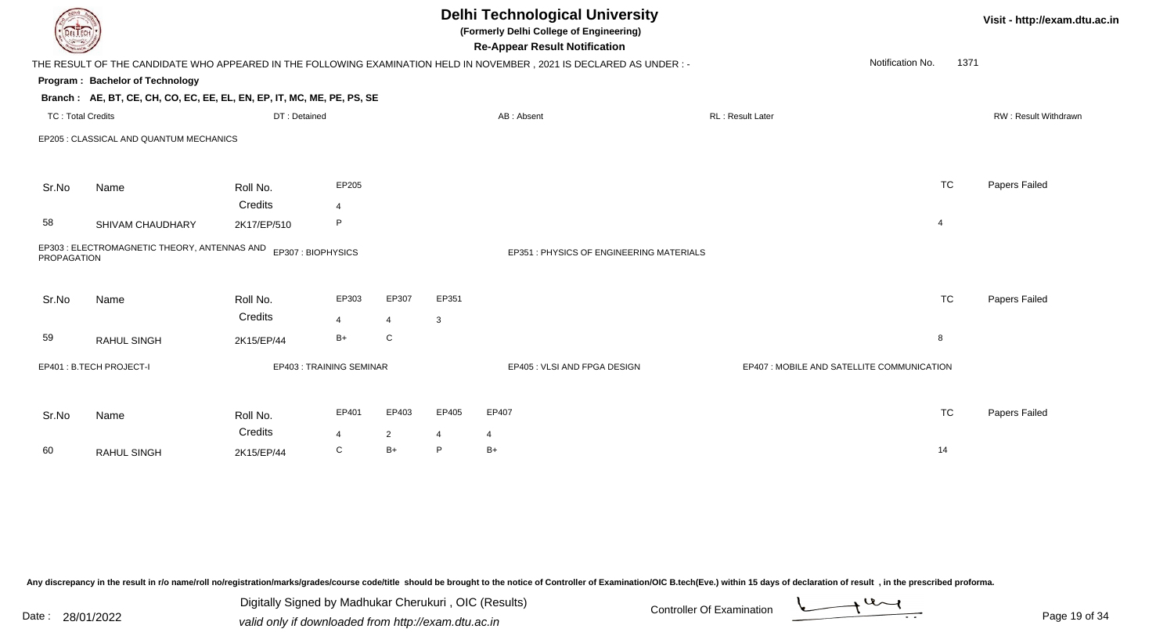|                          |                                                                        |                     |                         |                         | <b>Delhi Technological University</b><br>(Formerly Delhi College of Engineering)<br><b>Re-Appear Result Notification</b> | Visit - http://exam.dtu.ac.in                                                                                        |                                            |                  |                      |
|--------------------------|------------------------------------------------------------------------|---------------------|-------------------------|-------------------------|--------------------------------------------------------------------------------------------------------------------------|----------------------------------------------------------------------------------------------------------------------|--------------------------------------------|------------------|----------------------|
|                          |                                                                        |                     |                         |                         |                                                                                                                          | THE RESULT OF THE CANDIDATE WHO APPEARED IN THE FOLLOWING EXAMINATION HELD IN NOVEMBER, 2021 IS DECLARED AS UNDER :- |                                            | Notification No. | 1371                 |
|                          | Program: Bachelor of Technology                                        |                     |                         |                         |                                                                                                                          |                                                                                                                      |                                            |                  |                      |
|                          | Branch: AE, BT, CE, CH, CO, EC, EE, EL, EN, EP, IT, MC, ME, PE, PS, SE |                     |                         |                         |                                                                                                                          |                                                                                                                      |                                            |                  |                      |
| <b>TC: Total Credits</b> |                                                                        | DT: Detained        |                         |                         |                                                                                                                          | AB: Absent                                                                                                           | RL: Result Later                           |                  | RW: Result Withdrawn |
|                          | EP205 : CLASSICAL AND QUANTUM MECHANICS                                |                     |                         |                         |                                                                                                                          |                                                                                                                      |                                            |                  |                      |
| Sr.No                    | Name                                                                   | Roll No.            | EP205                   |                         |                                                                                                                          |                                                                                                                      |                                            | <b>TC</b>        | Papers Failed        |
|                          |                                                                        | Credits             | 4                       |                         |                                                                                                                          |                                                                                                                      |                                            |                  |                      |
| 58                       | SHIVAM CHAUDHARY                                                       | 2K17/EP/510         | P                       |                         |                                                                                                                          |                                                                                                                      |                                            | $\overline{4}$   |                      |
| <b>PROPAGATION</b>       | EP303 : ELECTROMAGNETIC THEORY, ANTENNAS AND                           |                     | EP307: BIOPHYSICS       |                         |                                                                                                                          | EP351 : PHYSICS OF ENGINEERING MATERIALS                                                                             |                                            |                  |                      |
| Sr.No                    | Name                                                                   | Roll No.<br>Credits | EP303<br>$\overline{4}$ | EP307<br>$\overline{4}$ | EP351<br>3                                                                                                               |                                                                                                                      |                                            | <b>TC</b>        | Papers Failed        |
| 59                       | <b>RAHUL SINGH</b>                                                     | 2K15/EP/44          | $B+$                    | ${\bf C}$               |                                                                                                                          |                                                                                                                      |                                            | 8                |                      |
|                          | EP401: B.TECH PROJECT-I                                                |                     | EP403: TRAINING SEMINAR |                         |                                                                                                                          | EP405 : VLSI AND FPGA DESIGN                                                                                         | EP407 : MOBILE AND SATELLITE COMMUNICATION |                  |                      |
| Sr.No                    | Name                                                                   | Roll No.            | EP401                   | EP403                   | EP405                                                                                                                    | EP407                                                                                                                |                                            | <b>TC</b>        | Papers Failed        |
|                          |                                                                        | Credits             | 4                       | $\overline{2}$          | 4                                                                                                                        | $\overline{4}$                                                                                                       |                                            |                  |                      |
| 60                       | <b>RAHUL SINGH</b>                                                     | 2K15/EP/44          | C                       | $B+$                    | P                                                                                                                        | $B+$                                                                                                                 |                                            | 14               |                      |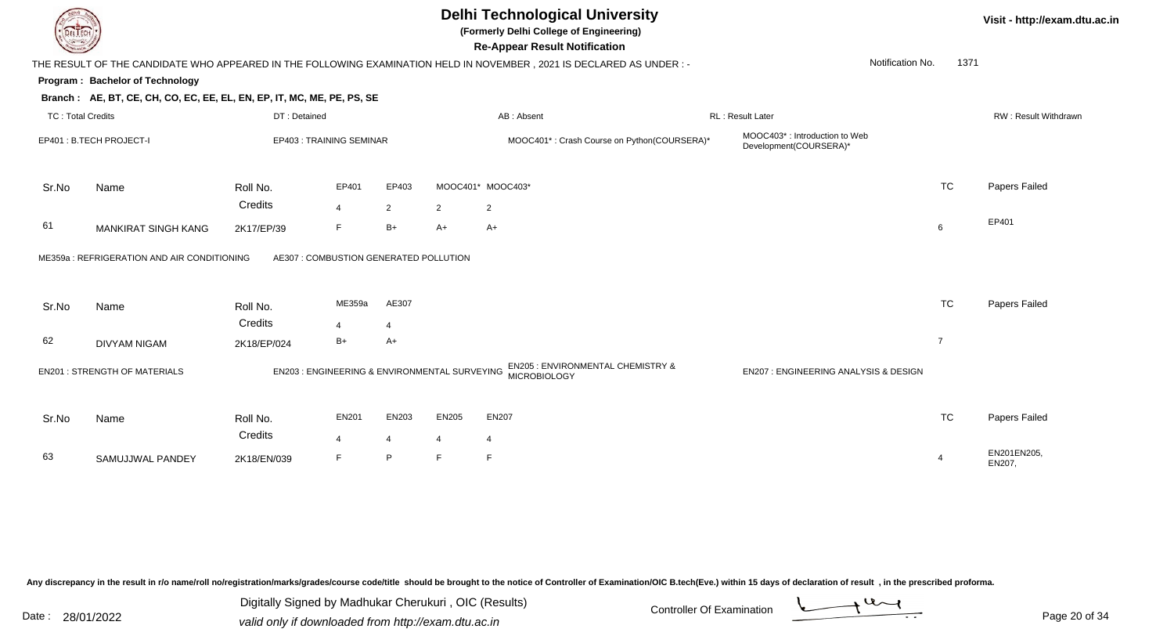

# **Delhi Technological University**

**(Formerly Delhi College of Engineering)**

**Re-Appear Result Notification**

**Visit - http://exam.dtu.ac.in**

| $\sim$                   |                                                                        |              |                                               |                |                | <b>INC-Appear INCOUR NORMOUR</b>                                                                                       |                                                         |                  |                |                             |
|--------------------------|------------------------------------------------------------------------|--------------|-----------------------------------------------|----------------|----------------|------------------------------------------------------------------------------------------------------------------------|---------------------------------------------------------|------------------|----------------|-----------------------------|
|                          |                                                                        |              |                                               |                |                | THE RESULT OF THE CANDIDATE WHO APPEARED IN THE FOLLOWING EXAMINATION HELD IN NOVEMBER , 2021 IS DECLARED AS UNDER : - |                                                         | Notification No. | 1371           |                             |
|                          | Program: Bachelor of Technology                                        |              |                                               |                |                |                                                                                                                        |                                                         |                  |                |                             |
|                          | Branch: AE, BT, CE, CH, CO, EC, EE, EL, EN, EP, IT, MC, ME, PE, PS, SE |              |                                               |                |                |                                                                                                                        |                                                         |                  |                |                             |
| <b>TC: Total Credits</b> |                                                                        | DT: Detained |                                               |                |                | AB: Absent                                                                                                             | <b>RL: Result Later</b>                                 |                  |                | <b>RW: Result Withdrawn</b> |
|                          | EP401 : B.TECH PROJECT-I                                               |              | EP403: TRAINING SEMINAR                       |                |                | MOOC401*: Crash Course on Python(COURSERA)*                                                                            | MOOC403*: Introduction to Web<br>Development(COURSERA)* |                  |                |                             |
| Sr.No                    | Name                                                                   | Roll No.     | EP401                                         | EP403          |                | MOOC401* MOOC403*                                                                                                      |                                                         |                  | <b>TC</b>      | Papers Failed               |
|                          |                                                                        | Credits      | $\overline{4}$                                | $\overline{2}$ | $\overline{2}$ | $\overline{2}$                                                                                                         |                                                         |                  |                |                             |
| 61                       | <b>MANKIRAT SINGH KANG</b>                                             | 2K17/EP/39   | F                                             | $B+$           | $A+$           | A+                                                                                                                     |                                                         |                  | 6              | EP401                       |
|                          | ME359a : REFRIGERATION AND AIR CONDITIONING                            |              | AE307 : COMBUSTION GENERATED POLLUTION        |                |                |                                                                                                                        |                                                         |                  |                |                             |
|                          |                                                                        |              |                                               |                |                |                                                                                                                        |                                                         |                  |                |                             |
| Sr.No                    | Name                                                                   | Roll No.     | ME359a                                        | AE307          |                |                                                                                                                        |                                                         |                  | <b>TC</b>      | Papers Failed               |
|                          |                                                                        | Credits      | $\overline{4}$                                | $\overline{4}$ |                |                                                                                                                        |                                                         |                  |                |                             |
| 62                       | <b>DIVYAM NIGAM</b>                                                    | 2K18/EP/024  | $B+$                                          | $A+$           |                |                                                                                                                        |                                                         |                  | $\overline{7}$ |                             |
|                          | <b>EN201: STRENGTH OF MATERIALS</b>                                    |              | EN203 : ENGINEERING & ENVIRONMENTAL SURVEYING |                |                | EN205 : ENVIRONMENTAL CHEMISTRY &<br><b>MICROBIOLOGY</b>                                                               | EN207 : ENGINEERING ANALYSIS & DESIGN                   |                  |                |                             |
| Sr.No                    | Name                                                                   | Roll No.     | <b>EN201</b>                                  | EN203          | <b>EN205</b>   | <b>EN207</b>                                                                                                           |                                                         |                  | <b>TC</b>      | Papers Failed               |
|                          |                                                                        | Credits      | $\overline{4}$                                | $\overline{4}$ | 4              | $\overline{4}$                                                                                                         |                                                         |                  |                |                             |
| 63                       | SAMUJJWAL PANDEY                                                       | 2K18/EN/039  | F                                             | P              |                | F                                                                                                                      |                                                         |                  | 4              | EN201EN205,<br>EN207,       |

Any discrepancy in the result in r/o name/roll no/registration/marks/grades/course code/title should be brought to the notice of Controller of Examination/OIC B.tech(Eve.) within 15 days of declaration of result, in the pr

Date : 28/01/2022 valid only if downloaded from http://exam.dtu.ac.in<br>valid only if downloaded from http://exam.dtu.ac.in Digitally Signed by Madhukar Cherukuri , OIC (Results)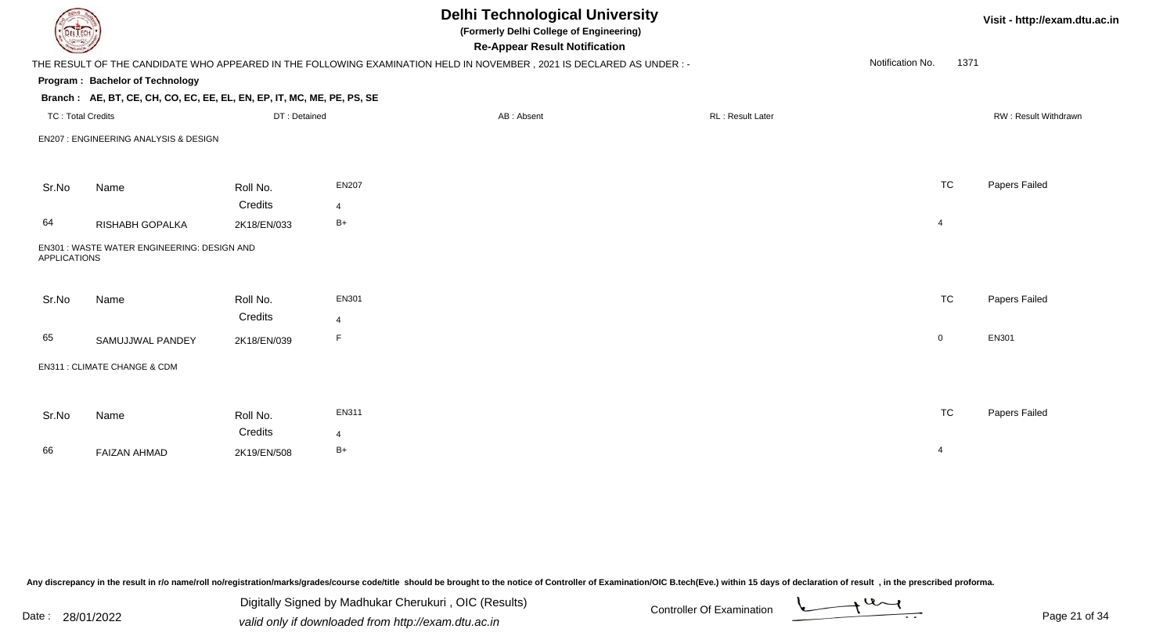| DEL TECH                 |                                                                        |                     |                         | <b>Delhi Technological University</b><br>(Formerly Delhi College of Engineering)<br><b>Re-Appear Result Notification</b> |                  |                          | Visit - http://exam.dtu.ac.in |
|--------------------------|------------------------------------------------------------------------|---------------------|-------------------------|--------------------------------------------------------------------------------------------------------------------------|------------------|--------------------------|-------------------------------|
|                          |                                                                        |                     |                         | THE RESULT OF THE CANDIDATE WHO APPEARED IN THE FOLLOWING EXAMINATION HELD IN NOVEMBER, 2021 IS DECLARED AS UNDER :-     |                  | Notification No.<br>1371 |                               |
|                          | Program: Bachelor of Technology                                        |                     |                         |                                                                                                                          |                  |                          |                               |
|                          | Branch: AE, BT, CE, CH, CO, EC, EE, EL, EN, EP, IT, MC, ME, PE, PS, SE |                     |                         |                                                                                                                          |                  |                          |                               |
| <b>TC: Total Credits</b> |                                                                        | DT: Detained        |                         | AB: Absent                                                                                                               | RL: Result Later |                          | RW: Result Withdrawn          |
|                          | EN207 : ENGINEERING ANALYSIS & DESIGN                                  |                     |                         |                                                                                                                          |                  |                          |                               |
| Sr.No                    | Name                                                                   | Roll No.            | <b>EN207</b>            |                                                                                                                          |                  | <b>TC</b>                | Papers Failed                 |
|                          |                                                                        | Credits             | $\overline{4}$          |                                                                                                                          |                  |                          |                               |
| 64                       | RISHABH GOPALKA                                                        | 2K18/EN/033         | $B+$                    |                                                                                                                          |                  | $\overline{4}$           |                               |
| <b>APPLICATIONS</b>      | EN301 : WASTE WATER ENGINEERING: DESIGN AND                            |                     |                         |                                                                                                                          |                  |                          |                               |
| Sr.No                    | Name                                                                   | Roll No.<br>Credits | EN301<br>$\overline{4}$ |                                                                                                                          |                  | <b>TC</b>                | Papers Failed                 |
| 65                       | SAMUJJWAL PANDEY                                                       | 2K18/EN/039         | E                       |                                                                                                                          |                  | $\overline{0}$           | EN301                         |
|                          | EN311 : CLIMATE CHANGE & CDM                                           |                     |                         |                                                                                                                          |                  |                          |                               |
|                          |                                                                        |                     |                         |                                                                                                                          |                  | <b>TC</b>                |                               |
| Sr.No                    | Name                                                                   | Roll No.<br>Credits | EN311<br>$\overline{4}$ |                                                                                                                          |                  |                          | Papers Failed                 |
| 66                       | <b>FAIZAN AHMAD</b>                                                    | 2K19/EN/508         | $B+$                    |                                                                                                                          |                  | $\overline{4}$           |                               |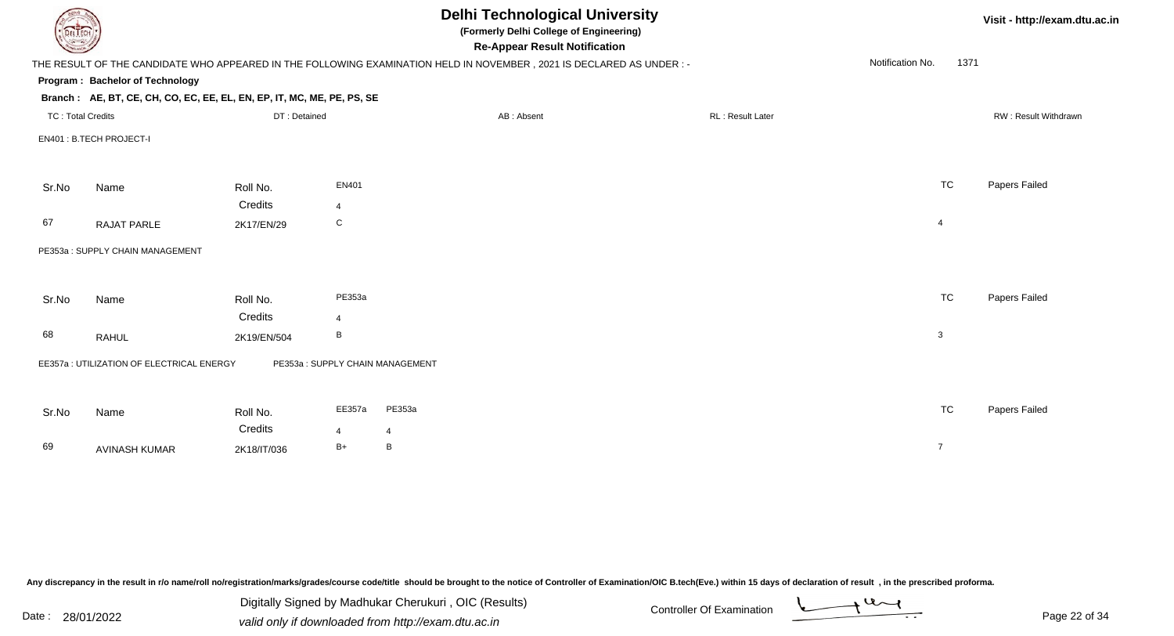| <b>DELTECH</b>           |                                                                        |              |                         | <b>Delhi Technological University</b><br>(Formerly Delhi College of Engineering)<br><b>Re-Appear Result Notification</b> |                  |                  | Visit - http://exam.dtu.ac.in |
|--------------------------|------------------------------------------------------------------------|--------------|-------------------------|--------------------------------------------------------------------------------------------------------------------------|------------------|------------------|-------------------------------|
|                          |                                                                        |              |                         | THE RESULT OF THE CANDIDATE WHO APPEARED IN THE FOLLOWING EXAMINATION HELD IN NOVEMBER, 2021 IS DECLARED AS UNDER :-     |                  | Notification No. | 1371                          |
|                          | Program: Bachelor of Technology                                        |              |                         |                                                                                                                          |                  |                  |                               |
|                          | Branch: AE, BT, CE, CH, CO, EC, EE, EL, EN, EP, IT, MC, ME, PE, PS, SE |              |                         |                                                                                                                          |                  |                  |                               |
| <b>TC: Total Credits</b> |                                                                        | DT: Detained |                         | AB: Absent                                                                                                               | RL: Result Later |                  | RW: Result Withdrawn          |
|                          | EN401: B.TECH PROJECT-I                                                |              |                         |                                                                                                                          |                  |                  |                               |
|                          |                                                                        |              |                         |                                                                                                                          |                  |                  |                               |
| Sr.No                    | Name                                                                   | Roll No.     | EN401                   |                                                                                                                          |                  | <b>TC</b>        | Papers Failed                 |
|                          |                                                                        | Credits      | $\overline{\mathbf{A}}$ |                                                                                                                          |                  |                  |                               |
| 67                       | RAJAT PARLE                                                            | 2K17/EN/29   | C                       |                                                                                                                          |                  | $\overline{4}$   |                               |
|                          | PE353a: SUPPLY CHAIN MANAGEMENT                                        |              |                         |                                                                                                                          |                  |                  |                               |
|                          |                                                                        |              |                         |                                                                                                                          |                  |                  |                               |
| Sr.No                    | Name                                                                   | Roll No.     | PE353a                  |                                                                                                                          |                  | <b>TC</b>        | Papers Failed                 |
|                          |                                                                        | Credits      | 4                       |                                                                                                                          |                  |                  |                               |
| 68                       | <b>RAHUL</b>                                                           | 2K19/EN/504  | B                       |                                                                                                                          |                  | 3                |                               |
|                          | EE357a : UTILIZATION OF ELECTRICAL ENERGY                              |              |                         | PE353a: SUPPLY CHAIN MANAGEMENT                                                                                          |                  |                  |                               |
|                          |                                                                        |              |                         |                                                                                                                          |                  |                  |                               |
| Sr.No                    | Name                                                                   | Roll No.     | EE357a                  | PE353a                                                                                                                   |                  | <b>TC</b>        | Papers Failed                 |
|                          |                                                                        | Credits      | 4                       | 4                                                                                                                        |                  |                  |                               |
| 69                       | <b>AVINASH KUMAR</b>                                                   | 2K18/IT/036  | $B+$                    | B                                                                                                                        |                  | $\overline{7}$   |                               |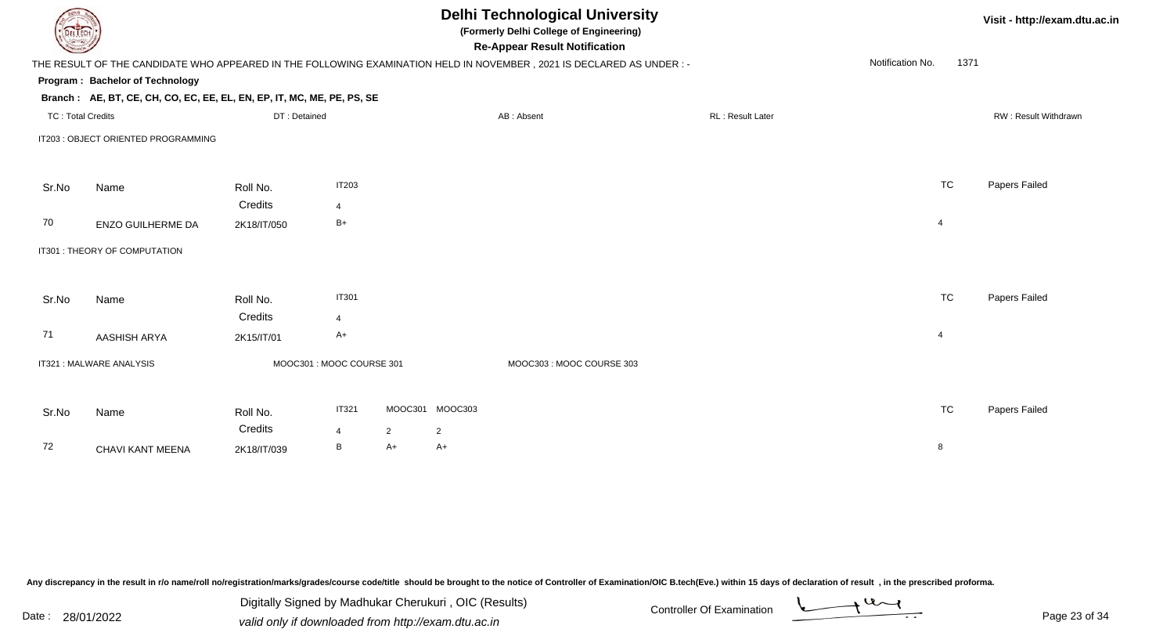| <b>DELTECH</b>           |                                                                        |                           |                |                |                 | <b>Delhi Technological University</b><br>(Formerly Delhi College of Engineering)<br><b>Re-Appear Result Notification</b> |                  |                  | Visit - http://exam.dtu.ac.in |                      |
|--------------------------|------------------------------------------------------------------------|---------------------------|----------------|----------------|-----------------|--------------------------------------------------------------------------------------------------------------------------|------------------|------------------|-------------------------------|----------------------|
|                          |                                                                        |                           |                |                |                 | THE RESULT OF THE CANDIDATE WHO APPEARED IN THE FOLLOWING EXAMINATION HELD IN NOVEMBER, 2021 IS DECLARED AS UNDER:-      |                  | Notification No. | 1371                          |                      |
|                          | Program: Bachelor of Technology                                        |                           |                |                |                 |                                                                                                                          |                  |                  |                               |                      |
|                          | Branch: AE, BT, CE, CH, CO, EC, EE, EL, EN, EP, IT, MC, ME, PE, PS, SE |                           |                |                |                 |                                                                                                                          |                  |                  |                               |                      |
| <b>TC: Total Credits</b> |                                                                        | DT: Detained              |                |                |                 | AB: Absent                                                                                                               | RL: Result Later |                  |                               | RW: Result Withdrawn |
|                          | IT203 : OBJECT ORIENTED PROGRAMMING                                    |                           |                |                |                 |                                                                                                                          |                  |                  |                               |                      |
|                          |                                                                        |                           |                |                |                 |                                                                                                                          |                  |                  |                               |                      |
| Sr.No                    | Name                                                                   | Roll No.                  | <b>IT203</b>   |                |                 |                                                                                                                          |                  |                  | <b>TC</b>                     | Papers Failed        |
|                          |                                                                        | Credits                   | 4              |                |                 |                                                                                                                          |                  |                  |                               |                      |
| 70                       | ENZO GUILHERME DA                                                      | 2K18/IT/050               | $B+$           |                |                 |                                                                                                                          |                  | 4                |                               |                      |
|                          | IT301 : THEORY OF COMPUTATION                                          |                           |                |                |                 |                                                                                                                          |                  |                  |                               |                      |
|                          |                                                                        |                           |                |                |                 |                                                                                                                          |                  |                  |                               |                      |
| Sr.No                    | Name                                                                   | Roll No.                  | <b>IT301</b>   |                |                 |                                                                                                                          |                  |                  | <b>TC</b>                     | Papers Failed        |
|                          |                                                                        | Credits                   | $\overline{4}$ |                |                 |                                                                                                                          |                  |                  |                               |                      |
| 71                       | AASHISH ARYA                                                           | 2K15/IT/01                | A+             |                |                 |                                                                                                                          |                  | 4                |                               |                      |
|                          | IT321 : MALWARE ANALYSIS                                               | MOOC301 : MOOC COURSE 301 |                |                |                 | MOOC303: MOOC COURSE 303                                                                                                 |                  |                  |                               |                      |
|                          |                                                                        |                           |                |                |                 |                                                                                                                          |                  |                  |                               |                      |
| Sr.No                    | Name                                                                   | Roll No.                  | <b>IT321</b>   |                | MOOC301 MOOC303 |                                                                                                                          |                  |                  | <b>TC</b>                     | Papers Failed        |
|                          |                                                                        | Credits                   | 4              | $\overline{2}$ | $\overline{2}$  |                                                                                                                          |                  |                  |                               |                      |
| 72                       | CHAVI KANT MEENA                                                       | 2K18/IT/039               | B              | A+             | A+              |                                                                                                                          |                  | 8                |                               |                      |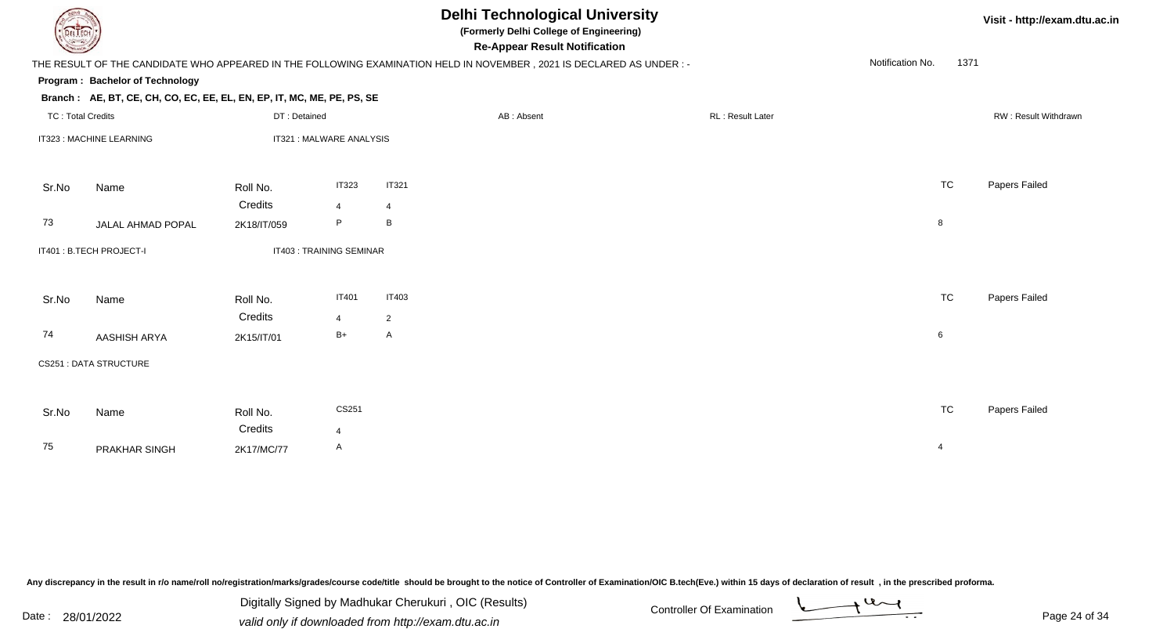| DEL ECH                  | Visit - http://exam.dtu.ac.in                                          |              |                          |                |                                                                                                                                                              |                   |                          |                      |
|--------------------------|------------------------------------------------------------------------|--------------|--------------------------|----------------|--------------------------------------------------------------------------------------------------------------------------------------------------------------|-------------------|--------------------------|----------------------|
|                          |                                                                        |              |                          |                | <b>Re-Appear Result Notification</b><br>THE RESULT OF THE CANDIDATE WHO APPEARED IN THE FOLLOWING EXAMINATION HELD IN NOVEMBER, 2021 IS DECLARED AS UNDER :- |                   | Notification No.<br>1371 |                      |
|                          | Program: Bachelor of Technology                                        |              |                          |                |                                                                                                                                                              |                   |                          |                      |
|                          | Branch: AE, BT, CE, CH, CO, EC, EE, EL, EN, EP, IT, MC, ME, PE, PS, SE |              |                          |                |                                                                                                                                                              |                   |                          |                      |
| <b>TC: Total Credits</b> |                                                                        | DT: Detained |                          |                | AB: Absent                                                                                                                                                   | RL : Result Later |                          | RW: Result Withdrawn |
|                          | IT323 : MACHINE LEARNING                                               |              | IT321 : MALWARE ANALYSIS |                |                                                                                                                                                              |                   |                          |                      |
| Sr.No                    | Name                                                                   | Roll No.     | <b>IT323</b>             | <b>IT321</b>   |                                                                                                                                                              |                   | <b>TC</b>                | Papers Failed        |
|                          |                                                                        | Credits      | $\overline{4}$           | 4              |                                                                                                                                                              |                   |                          |                      |
| 73                       | JALAL AHMAD POPAL                                                      | 2K18/IT/059  | P                        | B              |                                                                                                                                                              |                   | 8                        |                      |
|                          | IT401: B.TECH PROJECT-I                                                |              | IT403: TRAINING SEMINAR  |                |                                                                                                                                                              |                   |                          |                      |
| Sr.No                    | Name                                                                   | Roll No.     | <b>IT401</b>             | <b>IT403</b>   |                                                                                                                                                              |                   | <b>TC</b>                | Papers Failed        |
|                          |                                                                        | Credits      | $\overline{4}$           | $\overline{2}$ |                                                                                                                                                              |                   |                          |                      |
| 74                       | AASHISH ARYA                                                           | 2K15/IT/01   | $B+$                     | A              |                                                                                                                                                              |                   | 6                        |                      |
|                          | CS251 : DATA STRUCTURE                                                 |              |                          |                |                                                                                                                                                              |                   |                          |                      |
| Sr.No                    | Name                                                                   | Roll No.     | CS251                    |                |                                                                                                                                                              |                   | <b>TC</b>                | Papers Failed        |
|                          |                                                                        | Credits      | $\overline{4}$           |                |                                                                                                                                                              |                   |                          |                      |
| 75                       | PRAKHAR SINGH                                                          | 2K17/MC/77   | A                        |                |                                                                                                                                                              |                   | $\overline{4}$           |                      |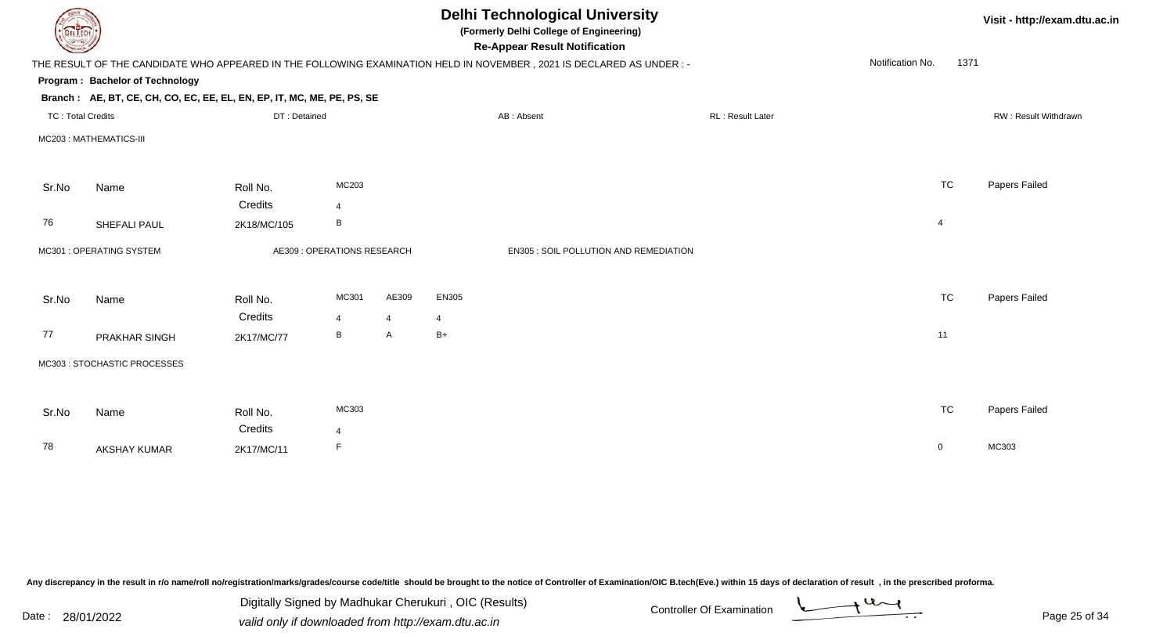| <b>Delhi Technological University</b><br>Visit - http://exam.dtu.ac.in<br>(Formerly Delhi College of Engineering)<br>EL ECH<br><b>Re-Appear Result Notification</b> |                                                                                                                      |                             |                |       |       |            |                                        |                  |                  |                |                      |
|---------------------------------------------------------------------------------------------------------------------------------------------------------------------|----------------------------------------------------------------------------------------------------------------------|-----------------------------|----------------|-------|-------|------------|----------------------------------------|------------------|------------------|----------------|----------------------|
|                                                                                                                                                                     | THE RESULT OF THE CANDIDATE WHO APPEARED IN THE FOLLOWING EXAMINATION HELD IN NOVEMBER, 2021 IS DECLARED AS UNDER :- |                             |                |       |       |            |                                        |                  | Notification No. | 1371           |                      |
|                                                                                                                                                                     | Program: Bachelor of Technology                                                                                      |                             |                |       |       |            |                                        |                  |                  |                |                      |
|                                                                                                                                                                     | Branch: AE, BT, CE, CH, CO, EC, EE, EL, EN, EP, IT, MC, ME, PE, PS, SE                                               |                             |                |       |       |            |                                        |                  |                  |                |                      |
| <b>TC: Total Credits</b>                                                                                                                                            |                                                                                                                      | DT: Detained                |                |       |       | AB: Absent |                                        | RL: Result Later |                  |                | RW: Result Withdrawn |
|                                                                                                                                                                     | MC203: MATHEMATICS-III                                                                                               |                             |                |       |       |            |                                        |                  |                  |                |                      |
| Sr.No                                                                                                                                                               | Name                                                                                                                 | Roll No.                    | MC203          |       |       |            |                                        |                  |                  | <b>TC</b>      | Papers Failed        |
|                                                                                                                                                                     |                                                                                                                      | Credits                     | $\overline{4}$ |       |       |            |                                        |                  |                  |                |                      |
| 76                                                                                                                                                                  | SHEFALI PAUL                                                                                                         | 2K18/MC/105                 | В              |       |       |            |                                        |                  |                  | $\overline{4}$ |                      |
|                                                                                                                                                                     | MC301 : OPERATING SYSTEM                                                                                             | AE309 : OPERATIONS RESEARCH |                |       |       |            | EN305 : SOIL POLLUTION AND REMEDIATION |                  |                  |                |                      |
| Sr.No                                                                                                                                                               | Name                                                                                                                 | Roll No.                    | MC301          | AE309 | EN305 |            |                                        |                  |                  | <b>TC</b>      | Papers Failed        |
|                                                                                                                                                                     |                                                                                                                      | Credits                     | 4              | 4     | 4     |            |                                        |                  |                  |                |                      |
| 77                                                                                                                                                                  | PRAKHAR SINGH                                                                                                        | 2K17/MC/77                  | B              | A     | B+    |            |                                        |                  |                  | 11             |                      |
|                                                                                                                                                                     | MC303 : STOCHASTIC PROCESSES                                                                                         |                             |                |       |       |            |                                        |                  |                  |                |                      |
|                                                                                                                                                                     |                                                                                                                      |                             |                |       |       |            |                                        |                  |                  |                |                      |
| Sr.No                                                                                                                                                               | Name                                                                                                                 | Roll No.                    | MC303          |       |       |            |                                        |                  |                  | <b>TC</b>      | Papers Failed        |
|                                                                                                                                                                     |                                                                                                                      | Credits                     | $\overline{4}$ |       |       |            |                                        |                  |                  |                |                      |
| 78                                                                                                                                                                  | <b>AKSHAY KUMAR</b>                                                                                                  | 2K17/MC/11                  | F              |       |       |            |                                        |                  |                  | $\overline{0}$ | MC303                |
|                                                                                                                                                                     |                                                                                                                      |                             |                |       |       |            |                                        |                  |                  |                |                      |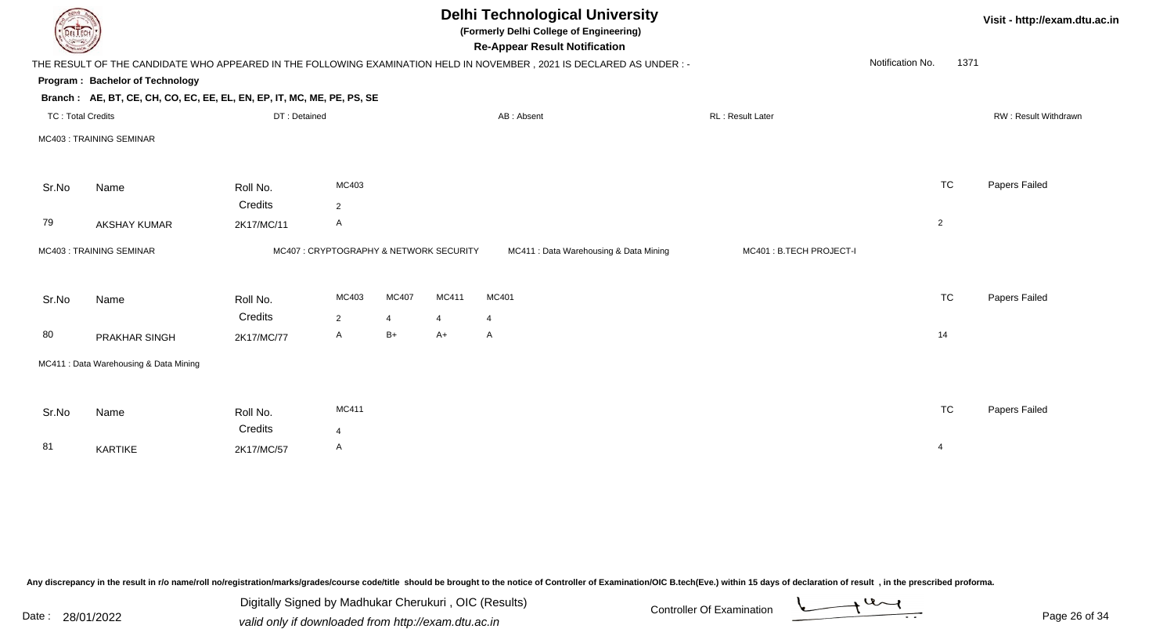| <b>Delhi Technological University</b><br>Visit - http://exam.dtu.ac.in<br>(Formerly Delhi College of Engineering)<br>DEL I ECH<br><b>Re-Appear Result Notification</b> |                                                                                                                      |              |                                        |       |       |                                        |  |                         |                  |           |                      |
|------------------------------------------------------------------------------------------------------------------------------------------------------------------------|----------------------------------------------------------------------------------------------------------------------|--------------|----------------------------------------|-------|-------|----------------------------------------|--|-------------------------|------------------|-----------|----------------------|
|                                                                                                                                                                        | THE RESULT OF THE CANDIDATE WHO APPEARED IN THE FOLLOWING EXAMINATION HELD IN NOVEMBER, 2021 IS DECLARED AS UNDER :- |              |                                        |       |       |                                        |  |                         | Notification No. | 1371      |                      |
|                                                                                                                                                                        | Program: Bachelor of Technology                                                                                      |              |                                        |       |       |                                        |  |                         |                  |           |                      |
|                                                                                                                                                                        | Branch: AE, BT, CE, CH, CO, EC, EE, EL, EN, EP, IT, MC, ME, PE, PS, SE                                               |              |                                        |       |       |                                        |  |                         |                  |           |                      |
| <b>TC: Total Credits</b>                                                                                                                                               |                                                                                                                      | DT: Detained |                                        |       |       | AB: Absent                             |  | RL: Result Later        |                  |           | RW: Result Withdrawn |
|                                                                                                                                                                        | MC403: TRAINING SEMINAR                                                                                              |              |                                        |       |       |                                        |  |                         |                  |           |                      |
| Sr.No                                                                                                                                                                  | Name                                                                                                                 | Roll No.     | MC403                                  |       |       |                                        |  |                         |                  | <b>TC</b> | Papers Failed        |
|                                                                                                                                                                        |                                                                                                                      | Credits      | $\overline{2}$                         |       |       |                                        |  |                         |                  |           |                      |
| 79                                                                                                                                                                     | AKSHAY KUMAR                                                                                                         | 2K17/MC/11   | A                                      |       |       |                                        |  |                         | $\overline{2}$   |           |                      |
|                                                                                                                                                                        | MC403: TRAINING SEMINAR                                                                                              |              | MC407: CRYPTOGRAPHY & NETWORK SECURITY |       |       | MC411 : Data Warehousing & Data Mining |  | MC401: B.TECH PROJECT-I |                  |           |                      |
| Sr.No                                                                                                                                                                  | Name                                                                                                                 | Roll No.     | MC403                                  | MC407 | MC411 | MC401                                  |  |                         |                  | <b>TC</b> | Papers Failed        |
|                                                                                                                                                                        |                                                                                                                      | Credits      | $\overline{2}$                         | 4     | 4     | $\overline{4}$                         |  |                         |                  |           |                      |
| 80                                                                                                                                                                     | PRAKHAR SINGH                                                                                                        | 2K17/MC/77   | $\mathsf{A}$                           | B+    | $A+$  | $\mathsf{A}$                           |  |                         |                  | 14        |                      |
|                                                                                                                                                                        | MC411 : Data Warehousing & Data Mining                                                                               |              |                                        |       |       |                                        |  |                         |                  |           |                      |
| Sr.No                                                                                                                                                                  | Name                                                                                                                 | Roll No.     | MC411                                  |       |       |                                        |  |                         |                  | <b>TC</b> | Papers Failed        |
|                                                                                                                                                                        |                                                                                                                      | Credits      | $\overline{4}$                         |       |       |                                        |  |                         |                  |           |                      |
| 81                                                                                                                                                                     | KARTIKE                                                                                                              | 2K17/MC/57   | A                                      |       |       |                                        |  |                         | $\overline{4}$   |           |                      |
|                                                                                                                                                                        |                                                                                                                      |              |                                        |       |       |                                        |  |                         |                  |           |                      |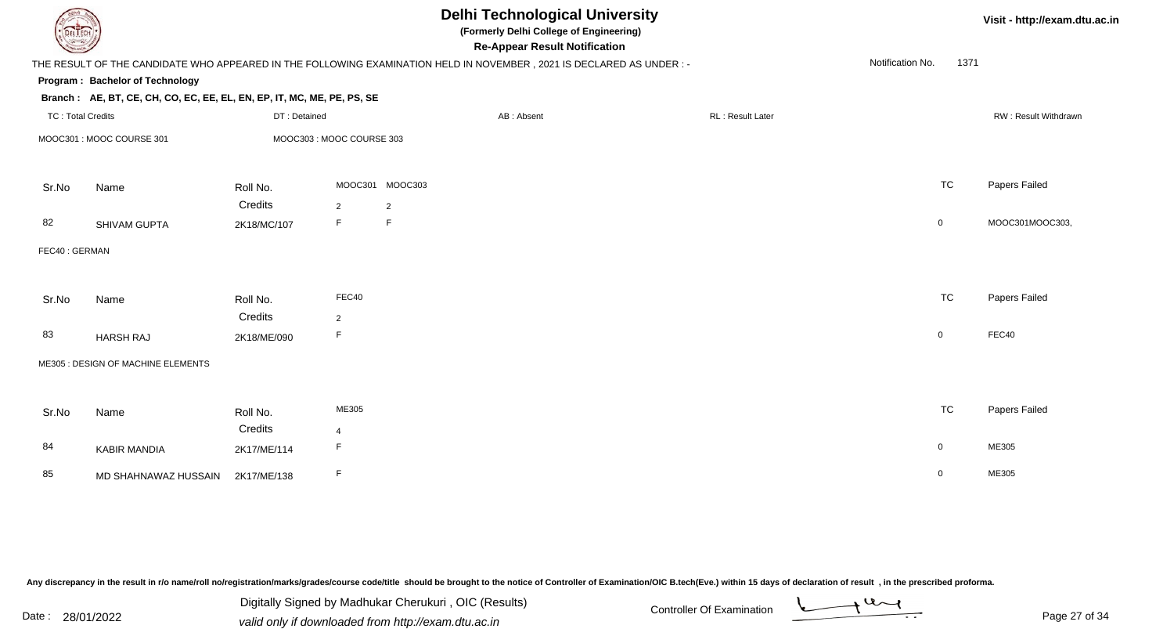| DEL ECH                  |                                                                        |              |                          |                 | <b>Delhi Technological University</b><br>(Formerly Delhi College of Engineering)<br><b>Re-Appear Result Notification</b> |  |                  |                  |                | Visit - http://exam.dtu.ac.in |
|--------------------------|------------------------------------------------------------------------|--------------|--------------------------|-----------------|--------------------------------------------------------------------------------------------------------------------------|--|------------------|------------------|----------------|-------------------------------|
|                          |                                                                        |              |                          |                 | THE RESULT OF THE CANDIDATE WHO APPEARED IN THE FOLLOWING EXAMINATION HELD IN NOVEMBER, 2021 IS DECLARED AS UNDER :-     |  |                  | Notification No. | 1371           |                               |
|                          | Program: Bachelor of Technology                                        |              |                          |                 |                                                                                                                          |  |                  |                  |                |                               |
|                          | Branch: AE, BT, CE, CH, CO, EC, EE, EL, EN, EP, IT, MC, ME, PE, PS, SE |              |                          |                 |                                                                                                                          |  |                  |                  |                |                               |
| <b>TC: Total Credits</b> |                                                                        | DT: Detained |                          |                 | AB: Absent                                                                                                               |  | RL: Result Later |                  |                | RW: Result Withdrawn          |
|                          | MOOC301: MOOC COURSE 301                                               |              | MOOC303: MOOC COURSE 303 |                 |                                                                                                                          |  |                  |                  |                |                               |
| Sr.No                    | Name                                                                   | Roll No.     |                          | MOOC301 MOOC303 |                                                                                                                          |  |                  |                  | <b>TC</b>      | Papers Failed                 |
|                          |                                                                        | Credits      | 2                        | $\overline{2}$  |                                                                                                                          |  |                  |                  |                |                               |
| 82                       | SHIVAM GUPTA                                                           | 2K18/MC/107  | F                        | F               |                                                                                                                          |  |                  |                  | $\mathbf 0$    | MOOC301MOOC303,               |
| FEC40: GERMAN            |                                                                        |              |                          |                 |                                                                                                                          |  |                  |                  |                |                               |
| Sr.No                    | Name                                                                   | Roll No.     | FEC40                    |                 |                                                                                                                          |  |                  |                  | <b>TC</b>      | Papers Failed                 |
|                          |                                                                        | Credits      | $\overline{2}$           |                 |                                                                                                                          |  |                  |                  |                |                               |
| 83                       | <b>HARSH RAJ</b>                                                       | 2K18/ME/090  | F                        |                 |                                                                                                                          |  |                  | $\overline{0}$   |                | FEC40                         |
|                          | ME305 : DESIGN OF MACHINE ELEMENTS                                     |              |                          |                 |                                                                                                                          |  |                  |                  |                |                               |
| Sr.No                    | Name                                                                   | Roll No.     | ME305                    |                 |                                                                                                                          |  |                  |                  | <b>TC</b>      | Papers Failed                 |
|                          |                                                                        | Credits      | $\overline{4}$           |                 |                                                                                                                          |  |                  |                  |                |                               |
| 84                       | <b>KABIR MANDIA</b>                                                    | 2K17/ME/114  | F.                       |                 |                                                                                                                          |  |                  |                  | $\overline{0}$ | ME305                         |
| 85                       | MD SHAHNAWAZ HUSSAIN                                                   | 2K17/ME/138  | F                        |                 |                                                                                                                          |  |                  | $\mathbf 0$      |                | ME305                         |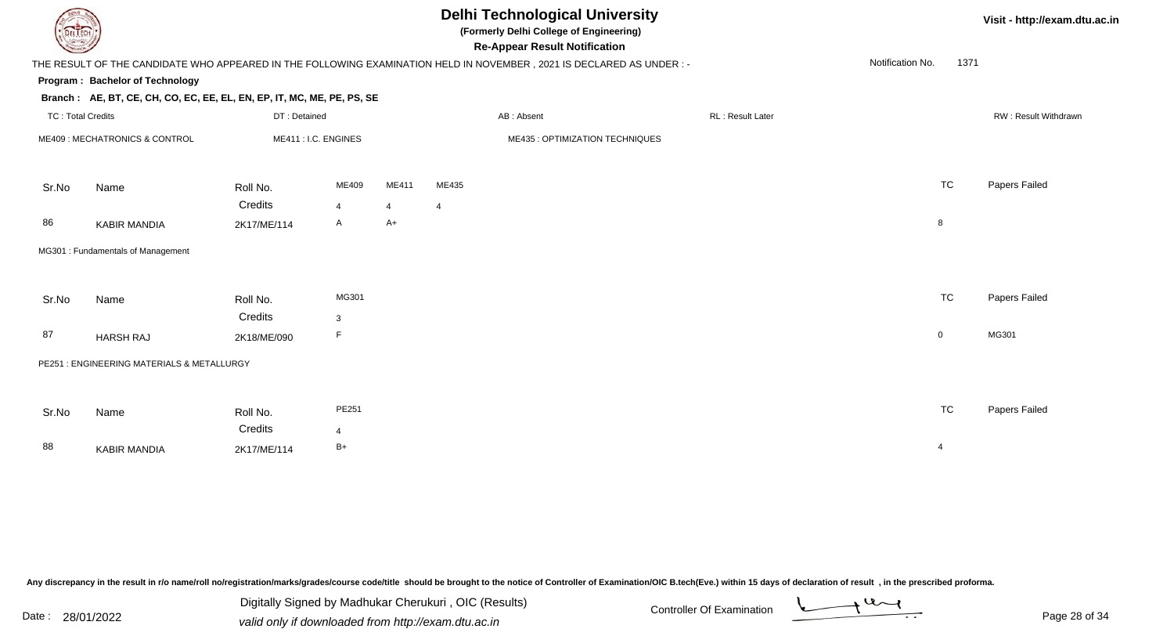| DEL ECH                  |                                                                                                                      |                      |                |                                 |                | <b>Delhi Technological University</b><br>(Formerly Delhi College of Engineering)<br><b>Re-Appear Result Notification</b> |  |                         |                  |                | Visit - http://exam.dtu.ac.in |  |
|--------------------------|----------------------------------------------------------------------------------------------------------------------|----------------------|----------------|---------------------------------|----------------|--------------------------------------------------------------------------------------------------------------------------|--|-------------------------|------------------|----------------|-------------------------------|--|
|                          | THE RESULT OF THE CANDIDATE WHO APPEARED IN THE FOLLOWING EXAMINATION HELD IN NOVEMBER, 2021 IS DECLARED AS UNDER :- |                      |                |                                 |                |                                                                                                                          |  |                         | Notification No. | 1371           |                               |  |
|                          | Program: Bachelor of Technology                                                                                      |                      |                |                                 |                |                                                                                                                          |  |                         |                  |                |                               |  |
|                          | Branch: AE, BT, CE, CH, CO, EC, EE, EL, EN, EP, IT, MC, ME, PE, PS, SE                                               |                      |                |                                 |                |                                                                                                                          |  |                         |                  |                |                               |  |
| <b>TC: Total Credits</b> |                                                                                                                      | DT: Detained         |                |                                 |                | AB: Absent                                                                                                               |  | <b>RL: Result Later</b> |                  |                | <b>RW: Result Withdrawn</b>   |  |
|                          | ME409 : MECHATRONICS & CONTROL                                                                                       | ME411 : I.C. ENGINES |                | ME435 : OPTIMIZATION TECHNIQUES |                |                                                                                                                          |  |                         |                  |                |                               |  |
| Sr.No                    | Name                                                                                                                 | Roll No.             | ME409          | ME411                           | ME435          |                                                                                                                          |  |                         |                  | <b>TC</b>      | Papers Failed                 |  |
|                          |                                                                                                                      | Credits              | 4              | $\overline{4}$                  | $\overline{4}$ |                                                                                                                          |  |                         |                  |                |                               |  |
| 86                       | <b>KABIR MANDIA</b>                                                                                                  | 2K17/ME/114          | $\mathsf{A}$   | A+                              |                |                                                                                                                          |  |                         |                  | $\,$ 8 $\,$    |                               |  |
|                          | MG301 : Fundamentals of Management                                                                                   |                      |                |                                 |                |                                                                                                                          |  |                         |                  |                |                               |  |
| Sr.No                    | Name                                                                                                                 | Roll No.             | MG301          |                                 |                |                                                                                                                          |  |                         |                  | <b>TC</b>      | Papers Failed                 |  |
|                          |                                                                                                                      | Credits              | $\mathbf{3}$   |                                 |                |                                                                                                                          |  |                         |                  |                |                               |  |
| 87                       | <b>HARSH RAJ</b>                                                                                                     | 2K18/ME/090          | F              |                                 |                |                                                                                                                          |  |                         |                  | $\mathbf 0$    | MG301                         |  |
|                          | PE251 : ENGINEERING MATERIALS & METALLURGY                                                                           |                      |                |                                 |                |                                                                                                                          |  |                         |                  |                |                               |  |
|                          |                                                                                                                      |                      |                |                                 |                |                                                                                                                          |  |                         |                  |                |                               |  |
| Sr.No                    | Name                                                                                                                 | Roll No.             | PE251          |                                 |                |                                                                                                                          |  |                         |                  | <b>TC</b>      | Papers Failed                 |  |
|                          |                                                                                                                      | Credits              | $\overline{4}$ |                                 |                |                                                                                                                          |  |                         |                  |                |                               |  |
| 88                       | <b>KABIR MANDIA</b>                                                                                                  | 2K17/ME/114          | $B+$           |                                 |                |                                                                                                                          |  |                         |                  | $\overline{4}$ |                               |  |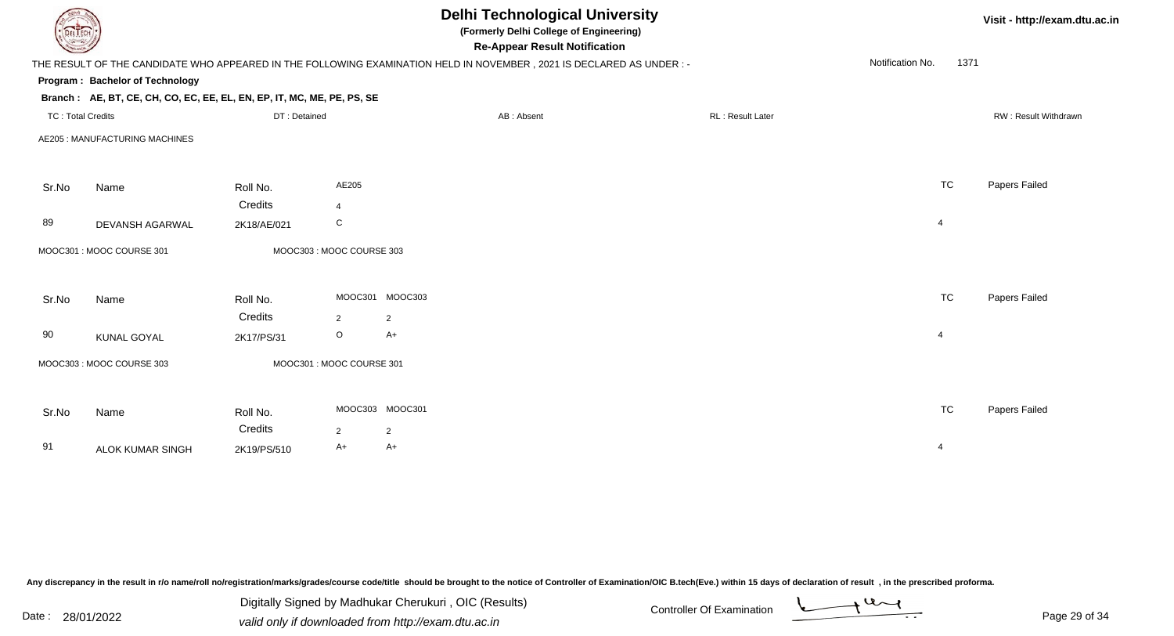| DEL TECH                 |                                                                        |              |                          | <b>Delhi Technological University</b><br>(Formerly Delhi College of Engineering)<br><b>Re-Appear Result Notification</b> |                          | Visit - http://exam.dtu.ac.in |  |
|--------------------------|------------------------------------------------------------------------|--------------|--------------------------|--------------------------------------------------------------------------------------------------------------------------|--------------------------|-------------------------------|--|
|                          |                                                                        |              |                          | THE RESULT OF THE CANDIDATE WHO APPEARED IN THE FOLLOWING EXAMINATION HELD IN NOVEMBER, 2021 IS DECLARED AS UNDER :-     | Notification No.<br>1371 |                               |  |
|                          | Program: Bachelor of Technology                                        |              |                          |                                                                                                                          |                          |                               |  |
|                          | Branch: AE, BT, CE, CH, CO, EC, EE, EL, EN, EP, IT, MC, ME, PE, PS, SE |              |                          |                                                                                                                          |                          |                               |  |
| <b>TC: Total Credits</b> |                                                                        | DT: Detained |                          | RL: Result Later<br>AB: Absent                                                                                           |                          | RW: Result Withdrawn          |  |
|                          | AE205 : MANUFACTURING MACHINES                                         |              |                          |                                                                                                                          |                          |                               |  |
| Sr.No                    | Name                                                                   | Roll No.     | AE205                    |                                                                                                                          | <b>TC</b>                | Papers Failed                 |  |
|                          |                                                                        | Credits      | $\overline{4}$           |                                                                                                                          |                          |                               |  |
| 89                       | DEVANSH AGARWAL                                                        | 2K18/AE/021  | C                        |                                                                                                                          | $\overline{4}$           |                               |  |
|                          | MOOC301: MOOC COURSE 301                                               |              | MOOC303: MOOC COURSE 303 |                                                                                                                          |                          |                               |  |
| Sr.No                    | Name                                                                   | Roll No.     |                          | MOOC301 MOOC303                                                                                                          | <b>TC</b>                | Papers Failed                 |  |
|                          |                                                                        | Credits      | $\overline{2}$           | $\overline{2}$                                                                                                           |                          |                               |  |
| 90                       | <b>KUNAL GOYAL</b>                                                     | 2K17/PS/31   | $\circ$                  | $A+$                                                                                                                     | $\overline{4}$           |                               |  |
|                          | MOOC303: MOOC COURSE 303                                               |              | MOOC301: MOOC COURSE 301 |                                                                                                                          |                          |                               |  |
| Sr.No                    | Name                                                                   | Roll No.     |                          | MOOC303 MOOC301                                                                                                          | <b>TC</b>                | Papers Failed                 |  |
|                          |                                                                        | Credits      | $\overline{2}$           | $\overline{2}$                                                                                                           |                          |                               |  |
| 91                       | <b>ALOK KUMAR SINGH</b>                                                | 2K19/PS/510  | $A+$                     | A+                                                                                                                       | 4                        |                               |  |
|                          |                                                                        |              |                          |                                                                                                                          |                          |                               |  |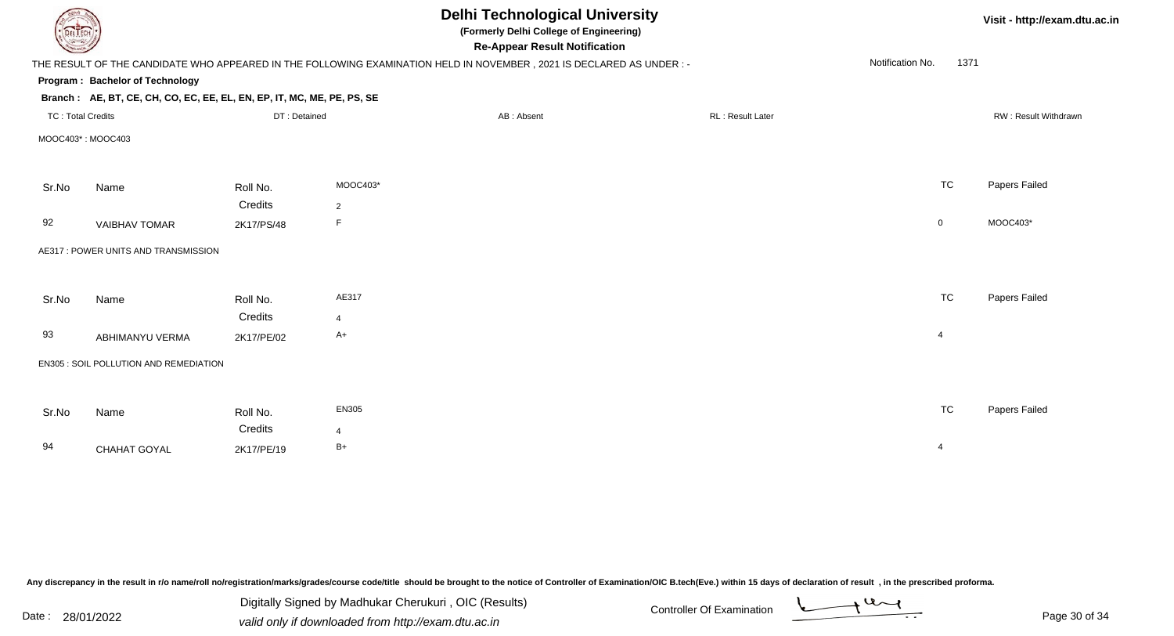|                          |                                                                        |              |                | <b>Delhi Technological University</b><br>(Formerly Delhi College of Engineering)<br><b>Re-Appear Result Notification</b> |                  |                  |                      |  |  |
|--------------------------|------------------------------------------------------------------------|--------------|----------------|--------------------------------------------------------------------------------------------------------------------------|------------------|------------------|----------------------|--|--|
|                          |                                                                        |              |                | THE RESULT OF THE CANDIDATE WHO APPEARED IN THE FOLLOWING EXAMINATION HELD IN NOVEMBER, 2021 IS DECLARED AS UNDER :-     |                  | Notification No. | 1371                 |  |  |
|                          | Program: Bachelor of Technology                                        |              |                |                                                                                                                          |                  |                  |                      |  |  |
|                          | Branch: AE, BT, CE, CH, CO, EC, EE, EL, EN, EP, IT, MC, ME, PE, PS, SE |              |                |                                                                                                                          |                  |                  |                      |  |  |
| <b>TC: Total Credits</b> |                                                                        | DT: Detained |                | AB: Absent                                                                                                               | RL: Result Later |                  | RW: Result Withdrawn |  |  |
|                          | MOOC403*: MOOC403                                                      |              |                |                                                                                                                          |                  |                  |                      |  |  |
| Sr.No                    | Name                                                                   | Roll No.     | MOOC403*       |                                                                                                                          |                  | <b>TC</b>        | Papers Failed        |  |  |
|                          |                                                                        | Credits      | 2              |                                                                                                                          |                  |                  |                      |  |  |
| 92                       | <b>VAIBHAV TOMAR</b>                                                   | 2K17/PS/48   | F.             |                                                                                                                          |                  | $\mathbf 0$      | MOOC403*             |  |  |
|                          | AE317 : POWER UNITS AND TRANSMISSION                                   |              |                |                                                                                                                          |                  |                  |                      |  |  |
| Sr.No                    | Name                                                                   | Roll No.     | AE317          |                                                                                                                          |                  | <b>TC</b>        | Papers Failed        |  |  |
|                          |                                                                        | Credits      | $\overline{4}$ |                                                                                                                          |                  |                  |                      |  |  |
| 93                       | ABHIMANYU VERMA                                                        | 2K17/PE/02   | $A+$           |                                                                                                                          |                  | $\overline{4}$   |                      |  |  |
|                          | EN305 : SOIL POLLUTION AND REMEDIATION                                 |              |                |                                                                                                                          |                  |                  |                      |  |  |
| Sr.No                    | Name                                                                   | Roll No.     | EN305          |                                                                                                                          |                  | <b>TC</b>        | Papers Failed        |  |  |
|                          |                                                                        | Credits      | 4              |                                                                                                                          |                  |                  |                      |  |  |
| 94                       | CHAHAT GOYAL                                                           | 2K17/PE/19   | $B+$           |                                                                                                                          |                  | 4                |                      |  |  |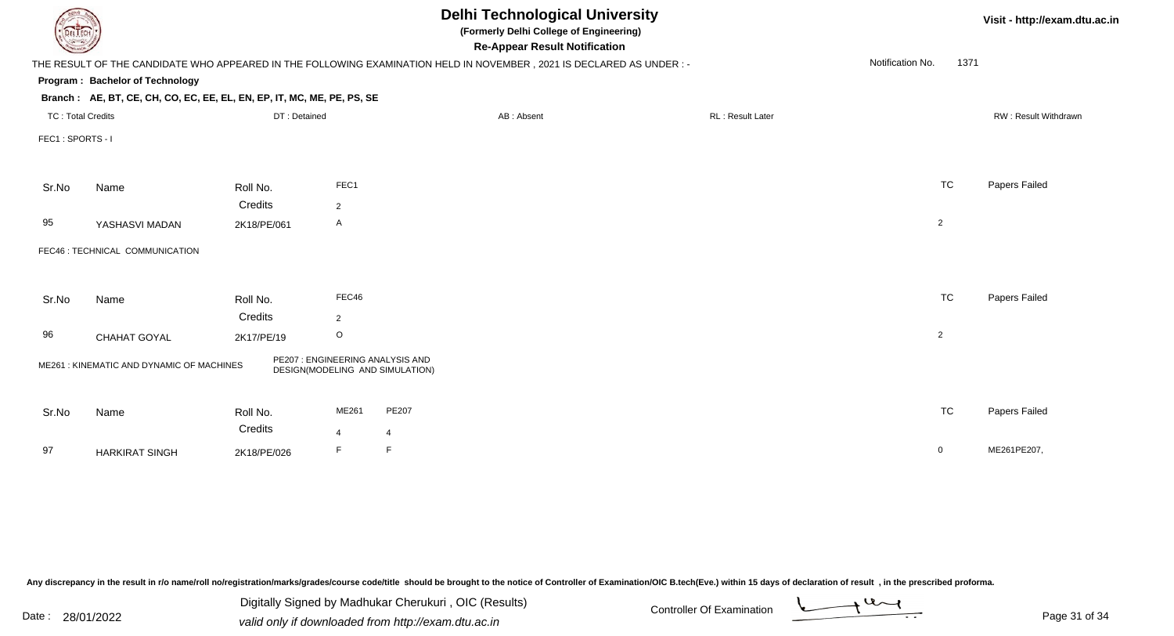|                          |                                                                        |                     |                |                                                                                                                      | <b>Delhi Technological University</b><br>(Formerly Delhi College of Engineering)<br><b>Re-Appear Result Notification</b> |                  |      |                      |  |
|--------------------------|------------------------------------------------------------------------|---------------------|----------------|----------------------------------------------------------------------------------------------------------------------|--------------------------------------------------------------------------------------------------------------------------|------------------|------|----------------------|--|
|                          |                                                                        |                     |                | THE RESULT OF THE CANDIDATE WHO APPEARED IN THE FOLLOWING EXAMINATION HELD IN NOVEMBER, 2021 IS DECLARED AS UNDER :- |                                                                                                                          | Notification No. | 1371 |                      |  |
|                          | Program: Bachelor of Technology                                        |                     |                |                                                                                                                      |                                                                                                                          |                  |      |                      |  |
|                          | Branch: AE, BT, CE, CH, CO, EC, EE, EL, EN, EP, IT, MC, ME, PE, PS, SE |                     |                |                                                                                                                      |                                                                                                                          |                  |      |                      |  |
| <b>TC: Total Credits</b> |                                                                        | DT: Detained        |                | AB: Absent                                                                                                           | RL: Result Later                                                                                                         |                  |      | RW: Result Withdrawn |  |
| FEC1: SPORTS - I         |                                                                        |                     |                |                                                                                                                      |                                                                                                                          |                  |      |                      |  |
|                          |                                                                        |                     |                |                                                                                                                      |                                                                                                                          |                  |      |                      |  |
| Sr.No                    | Name                                                                   | Roll No.            | FEC1           |                                                                                                                      |                                                                                                                          | TC               |      | Papers Failed        |  |
|                          |                                                                        | Credits             | $\overline{2}$ |                                                                                                                      |                                                                                                                          |                  |      |                      |  |
| 95                       | YASHASVI MADAN                                                         | 2K18/PE/061         | A              |                                                                                                                      |                                                                                                                          | $\overline{2}$   |      |                      |  |
|                          | FEC46 : TECHNICAL COMMUNICATION                                        |                     |                |                                                                                                                      |                                                                                                                          |                  |      |                      |  |
|                          |                                                                        |                     |                |                                                                                                                      |                                                                                                                          |                  |      |                      |  |
| Sr.No                    | Name                                                                   | Roll No.            | FEC46          |                                                                                                                      |                                                                                                                          | <b>TC</b>        |      | Papers Failed        |  |
|                          |                                                                        | Credits             | $\overline{2}$ |                                                                                                                      |                                                                                                                          |                  |      |                      |  |
| 96                       | CHAHAT GOYAL                                                           | 2K17/PE/19          | $\mathsf O$    |                                                                                                                      |                                                                                                                          | $\overline{2}$   |      |                      |  |
|                          | ME261: KINEMATIC AND DYNAMIC OF MACHINES                               |                     |                | PE207 : ENGINEERING ANALYSIS AND<br>DESIGN(MODELING AND SIMULATION)                                                  |                                                                                                                          |                  |      |                      |  |
|                          |                                                                        |                     |                |                                                                                                                      |                                                                                                                          |                  |      |                      |  |
| Sr.No                    | Name                                                                   | Roll No.<br>Credits | ME261          | PE207                                                                                                                |                                                                                                                          | <b>TC</b>        |      | Papers Failed        |  |
|                          |                                                                        |                     | 4              | $\overline{4}$                                                                                                       |                                                                                                                          |                  |      |                      |  |
| 97                       | <b>HARKIRAT SINGH</b>                                                  | 2K18/PE/026         | F              | F                                                                                                                    |                                                                                                                          | $\overline{0}$   |      | ME261PE207,          |  |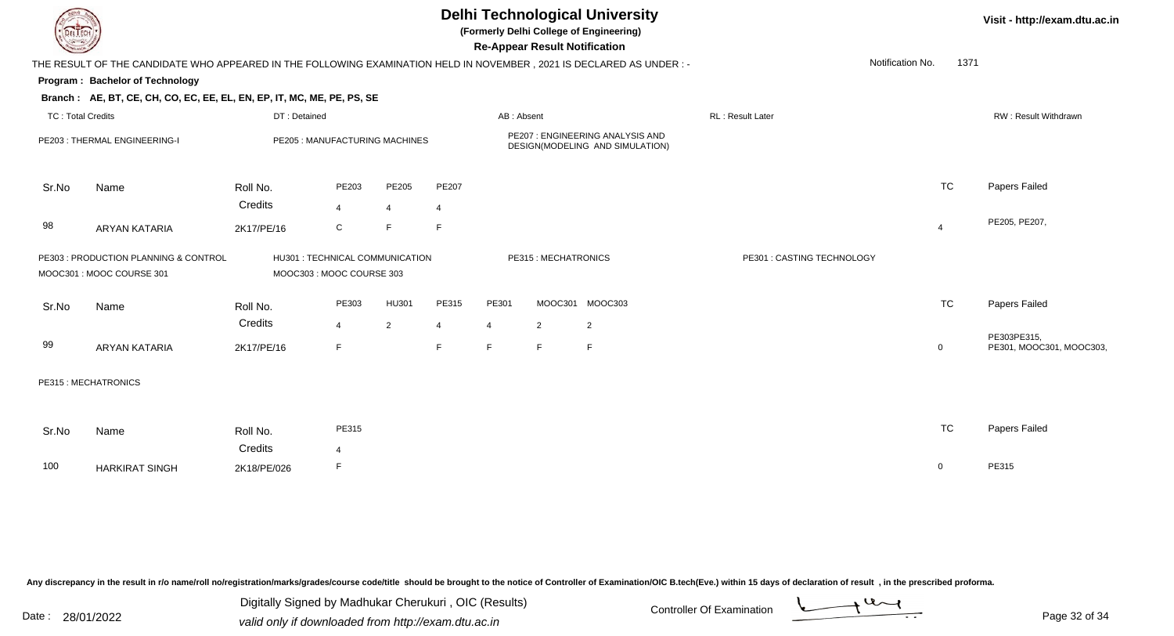|                          |                                                                                                                     |                                                             |                                |                |                |                                                                    | <b>Re-Appear Result Notification</b> | <b>Delhi Technological University</b><br>(Formerly Delhi College of Engineering) |                            |                  |                | Visit - http://exam.dtu.ac.in |
|--------------------------|---------------------------------------------------------------------------------------------------------------------|-------------------------------------------------------------|--------------------------------|----------------|----------------|--------------------------------------------------------------------|--------------------------------------|----------------------------------------------------------------------------------|----------------------------|------------------|----------------|-------------------------------|
|                          | THE RESULT OF THE CANDIDATE WHO APPEARED IN THE FOLLOWING EXAMINATION HELD IN NOVEMBER, 2021 IS DECLARED AS UNDER:- |                                                             |                                |                |                |                                                                    |                                      |                                                                                  |                            | Notification No. | 1371           |                               |
|                          | Program: Bachelor of Technology                                                                                     |                                                             |                                |                |                |                                                                    |                                      |                                                                                  |                            |                  |                |                               |
|                          | Branch: AE, BT, CE, CH, CO, EC, EE, EL, EN, EP, IT, MC, ME, PE, PS, SE                                              |                                                             |                                |                |                |                                                                    |                                      |                                                                                  |                            |                  |                |                               |
| <b>TC: Total Credits</b> |                                                                                                                     | DT: Detained                                                |                                |                |                | AB: Absent                                                         |                                      |                                                                                  | <b>RL: Result Later</b>    |                  |                | RW: Result Withdrawn          |
|                          | PE203: THERMAL ENGINEERING-I                                                                                        |                                                             | PE205 : MANUFACTURING MACHINES |                |                | PE207: ENGINEERING ANALYSIS AND<br>DESIGN(MODELING AND SIMULATION) |                                      |                                                                                  |                            |                  |                |                               |
| Sr.No                    | Name                                                                                                                | Roll No.                                                    | PE203                          | PE205          | PE207          |                                                                    |                                      |                                                                                  |                            |                  | <b>TC</b>      | Papers Failed                 |
|                          |                                                                                                                     | Credits                                                     | $\overline{4}$                 | $\overline{4}$ | $\overline{4}$ |                                                                    |                                      |                                                                                  |                            |                  |                |                               |
| 98                       | <b>ARYAN KATARIA</b>                                                                                                | 2K17/PE/16                                                  | ${\bf C}$                      | F              | E              |                                                                    |                                      |                                                                                  |                            |                  | $\overline{4}$ | PE205, PE207,                 |
|                          | PE303 : PRODUCTION PLANNING & CONTROL<br>MOOC301 : MOOC COURSE 301                                                  | HU301 : TECHNICAL COMMUNICATION<br>MOOC303: MOOC COURSE 303 |                                |                |                |                                                                    | PE315: MECHATRONICS                  |                                                                                  | PE301 : CASTING TECHNOLOGY |                  |                |                               |
| Sr.No                    | Name                                                                                                                | Roll No.                                                    | PE303                          | HU301          | PE315          | PE301                                                              |                                      | MOOC301 MOOC303                                                                  |                            |                  | <b>TC</b>      | Papers Failed                 |
|                          |                                                                                                                     | Credits                                                     | $\overline{4}$                 | 2              | $\overline{4}$ | $\overline{4}$                                                     | $\overline{2}$                       | $\overline{2}$                                                                   |                            |                  |                | PE303PE315,                   |
| 99                       | <b>ARYAN KATARIA</b>                                                                                                | 2K17/PE/16                                                  | E                              |                | F              | F.                                                                 | F                                    | F                                                                                |                            |                  | $\mathbf{0}$   | PE301, MOOC301, MOOC303,      |
|                          | PE315 : MECHATRONICS                                                                                                |                                                             |                                |                |                |                                                                    |                                      |                                                                                  |                            |                  |                |                               |
| Sr.No                    | Name                                                                                                                | Roll No.                                                    | PE315                          |                |                |                                                                    |                                      |                                                                                  |                            |                  | <b>TC</b>      | Papers Failed                 |
| 100                      | <b>HARKIRAT SINGH</b>                                                                                               | Credits<br>2K18/PE/026                                      | $\overline{\mathbf{4}}$        |                |                |                                                                    |                                      |                                                                                  |                            |                  | $\mathbf{0}$   | PE315                         |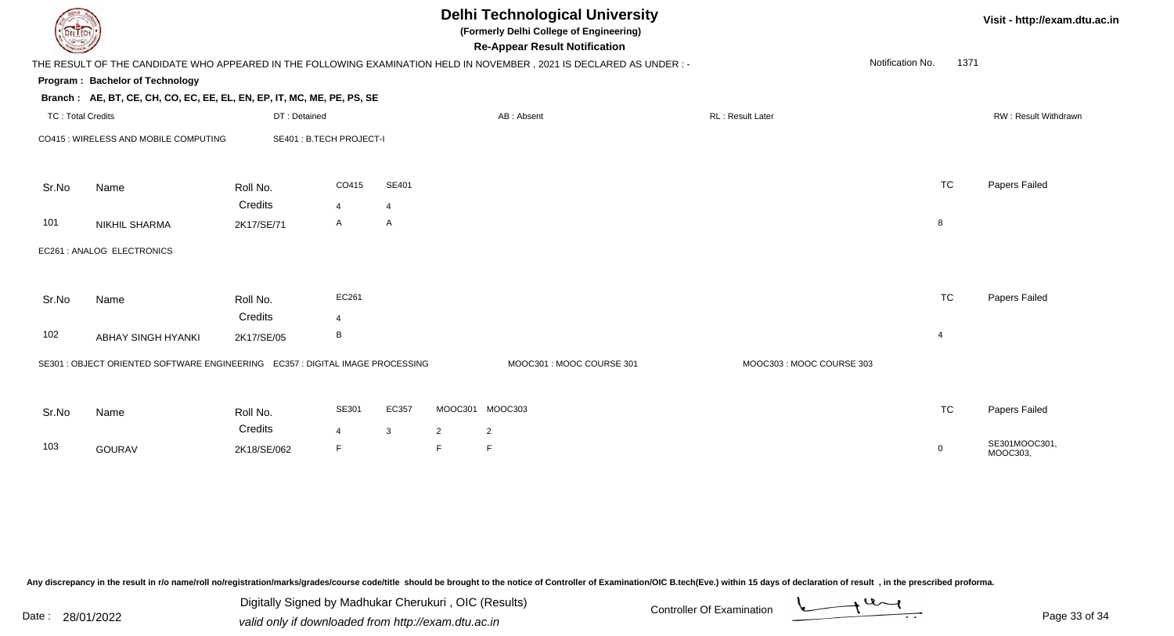|                          | <b>Delhi Technological University</b><br>Visit - http://exam.dtu.ac.in<br>(Formerly Delhi College of Engineering)<br>EL ECH<br><b>Re-Appear Result Notification</b> |                         |                     |                |                     |                                                                                                                     |                          |                  |      |                           |  |  |
|--------------------------|---------------------------------------------------------------------------------------------------------------------------------------------------------------------|-------------------------|---------------------|----------------|---------------------|---------------------------------------------------------------------------------------------------------------------|--------------------------|------------------|------|---------------------------|--|--|
|                          |                                                                                                                                                                     |                         |                     |                |                     | THE RESULT OF THE CANDIDATE WHO APPEARED IN THE FOLLOWING EXAMINATION HELD IN NOVEMBER, 2021 IS DECLARED AS UNDER:- |                          | Notification No. | 1371 |                           |  |  |
|                          | Program: Bachelor of Technology                                                                                                                                     |                         |                     |                |                     |                                                                                                                     |                          |                  |      |                           |  |  |
|                          | Branch: AE, BT, CE, CH, CO, EC, EE, EL, EN, EP, IT, MC, ME, PE, PS, SE                                                                                              |                         |                     |                |                     |                                                                                                                     |                          |                  |      |                           |  |  |
| <b>TC: Total Credits</b> |                                                                                                                                                                     | DT: Detained            |                     |                |                     | AB: Absent                                                                                                          | <b>RL: Result Later</b>  |                  |      | RW: Result Withdrawn      |  |  |
|                          | CO415 : WIRELESS AND MOBILE COMPUTING                                                                                                                               | SE401: B.TECH PROJECT-I |                     |                |                     |                                                                                                                     |                          |                  |      |                           |  |  |
| Sr.No                    | Name                                                                                                                                                                | Roll No.                | CO415               | SE401          |                     |                                                                                                                     |                          | <b>TC</b>        |      | Papers Failed             |  |  |
|                          |                                                                                                                                                                     | Credits                 | $\overline{4}$      | $\overline{4}$ |                     |                                                                                                                     |                          |                  |      |                           |  |  |
| 101                      | <b>NIKHIL SHARMA</b>                                                                                                                                                | 2K17/SE/71              | A                   | $\mathsf{A}$   |                     |                                                                                                                     |                          | 8                |      |                           |  |  |
|                          | EC261 : ANALOG ELECTRONICS                                                                                                                                          |                         |                     |                |                     |                                                                                                                     |                          |                  |      |                           |  |  |
| Sr.No                    | Name                                                                                                                                                                | Roll No.<br>Credits     | EC261<br>4          |                |                     |                                                                                                                     |                          | <b>TC</b>        |      | Papers Failed             |  |  |
| 102                      | ABHAY SINGH HYANKI                                                                                                                                                  | 2K17/SE/05              | В                   |                |                     |                                                                                                                     |                          | $\overline{4}$   |      |                           |  |  |
|                          | SE301 : OBJECT ORIENTED SOFTWARE ENGINEERING  EC357 : DIGITAL IMAGE PROCESSING                                                                                      |                         |                     |                |                     | MOOC301: MOOC COURSE 301                                                                                            | MOOC303: MOOC COURSE 303 |                  |      |                           |  |  |
| Sr.No                    | Name                                                                                                                                                                | Roll No.                | SE301               | EC357          |                     | MOOC301 MOOC303                                                                                                     |                          | <b>TC</b>        |      | Papers Failed             |  |  |
| 103                      | <b>GOURAV</b>                                                                                                                                                       | Credits<br>2K18/SE/062  | $\overline{4}$<br>F | $\mathbf{3}$   | $\overline{2}$<br>F | 2                                                                                                                   |                          | $\mathbf 0$      |      | SE301MOOC301,<br>MOOC303, |  |  |